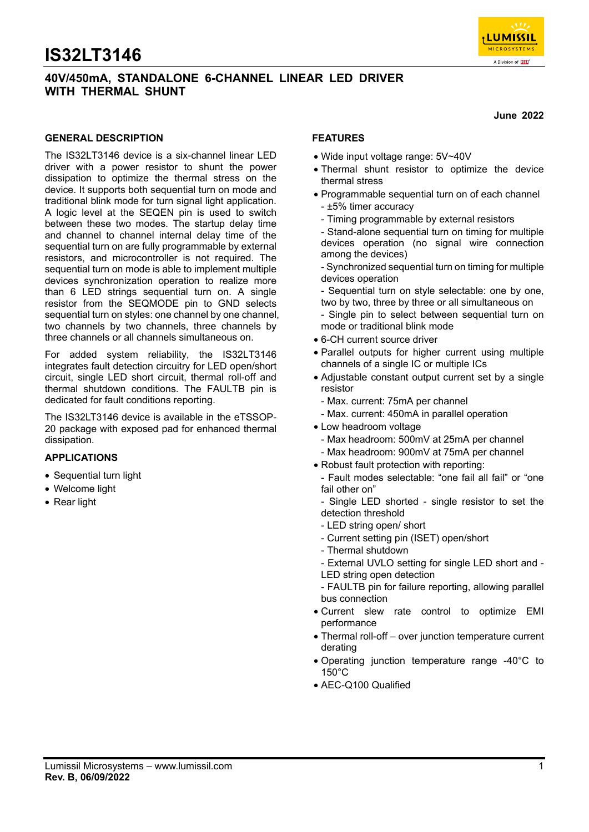### **40V/450mA, STANDALONE 6-CHANNEL LINEAR LED DRIVER WITH THERMAL SHUNT**

**June 2022** 

 $23772$ LUMISSIL **MICROSYSTEMS** A Division of **[KS]** 

### **GENERAL DESCRIPTION**

The IS32LT3146 device is a six-channel linear LED driver with a power resistor to shunt the power dissipation to optimize the thermal stress on the device. It supports both sequential turn on mode and traditional blink mode for turn signal light application. A logic level at the SEQEN pin is used to switch between these two modes. The startup delay time and channel to channel internal delay time of the sequential turn on are fully programmable by external resistors, and microcontroller is not required. The sequential turn on mode is able to implement multiple devices synchronization operation to realize more than 6 LED strings sequential turn on. A single resistor from the SEQMODE pin to GND selects sequential turn on styles: one channel by one channel, two channels by two channels, three channels by three channels or all channels simultaneous on.

For added system reliability, the IS32LT3146 integrates fault detection circuitry for LED open/short circuit, single LED short circuit, thermal roll-off and thermal shutdown conditions. The FAULTB pin is dedicated for fault conditions reporting.

The IS32LT3146 device is available in the eTSSOP-20 package with exposed pad for enhanced thermal dissipation.

#### **APPLICATIONS**

- Sequential turn light
- Welcome light
- Rear light

### **FEATURES**

- Wide input voltage range: 5V~40V
- Thermal shunt resistor to optimize the device thermal stress
- Programmable sequential turn on of each channel - ±5% timer accuracy
	- Timing programmable by external resistors
	- Stand-alone sequential turn on timing for multiple devices operation (no signal wire connection among the devices)
	- Synchronized sequential turn on timing for multiple devices operation
	- Sequential turn on style selectable: one by one, two by two, three by three or all simultaneous on
	- Single pin to select between sequential turn on mode or traditional blink mode
- 6-CH current source driver
- Parallel outputs for higher current using multiple channels of a single IC or multiple ICs
- Adjustable constant output current set by a single resistor
	- Max. current: 75mA per channel
	- Max. current: 450mA in parallel operation
- Low headroom voltage
	- Max headroom: 500mV at 25mA per channel
- Max headroom: 900mV at 75mA per channel
- Robust fault protection with reporting:
- Fault modes selectable: "one fail all fail" or "one fail other on"
- Single LED shorted single resistor to set the detection threshold
- LED string open/ short
- Current setting pin (ISET) open/short
- Thermal shutdown
- External UVLO setting for single LED short and LED string open detection
- FAULTB pin for failure reporting, allowing parallel bus connection
- Current slew rate control to optimize EMI performance
- Thermal roll-off over junction temperature current derating
- Operating junction temperature range -40°C to 150°C
- AEC-Q100 Qualified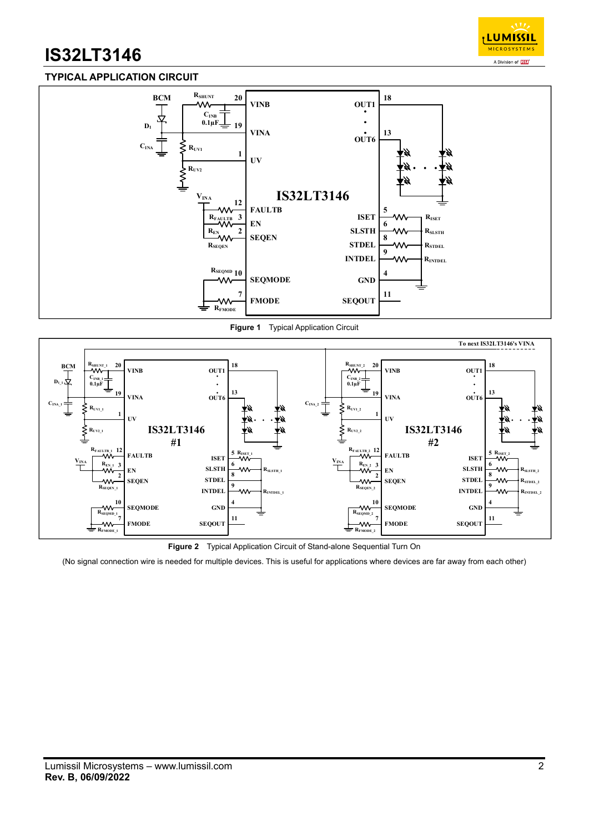

### **TYPICAL APPLICATION CIRCUIT**



**Figure 1** Typical Application Circuit



**Figure 2** Typical Application Circuit of Stand-alone Sequential Turn On

(No signal connection wire is needed for multiple devices. This is useful for applications where devices are far away from each other)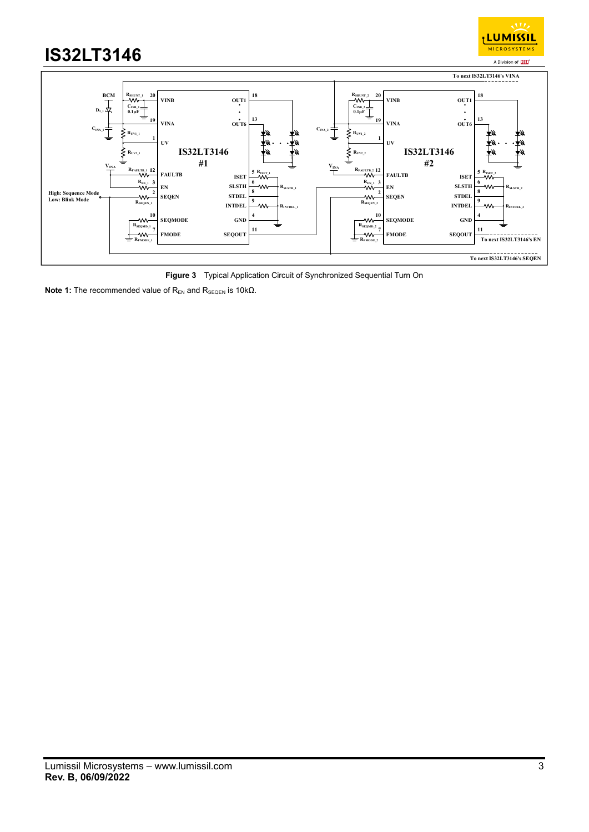

**Figure 3** Typical Application Circuit of Synchronized Sequential Turn On

**Note 1:** The recommended value of R<sub>EN</sub> and R<sub>SEQEN</sub> is 10kΩ.

<sub>I</sub> LUMISSIL **MICROSYSTEMS**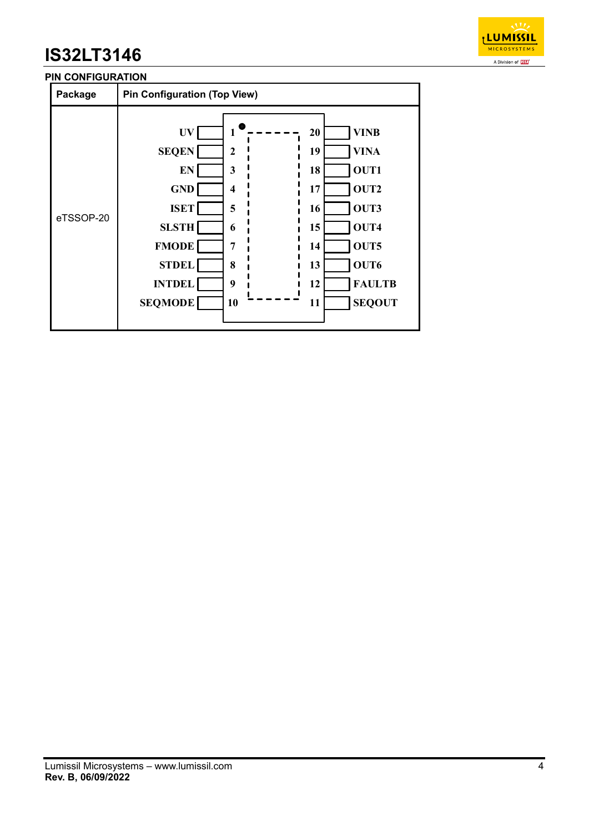

### **PIN CONFIGURATION**

| Package   | <b>Pin Configuration (Top View)</b>                                                                                                                    |                                                                          |                                                          |                                                                                                              |
|-----------|--------------------------------------------------------------------------------------------------------------------------------------------------------|--------------------------------------------------------------------------|----------------------------------------------------------|--------------------------------------------------------------------------------------------------------------|
| eTSSOP-20 | <b>UV</b><br><b>SEQEN</b><br><b>EN</b><br><b>GND</b><br><b>ISET</b><br><b>SLSTH</b><br><b>FMODE</b><br><b>STDEL</b><br><b>INTDEL</b><br><b>SEQMODE</b> | $\boldsymbol{2}$<br>3<br>$\boldsymbol{4}$<br>5<br>6<br>7<br>8<br>9<br>10 | 20<br>19<br>18<br>17<br>16<br>15<br>14<br>13<br>12<br>11 | <b>VINB</b><br><b>VINA</b><br>OUT1<br>OUT2<br>OUT3<br>OUT4<br>OUT5<br>OUT6<br><b>FAULTB</b><br><b>SEQOUT</b> |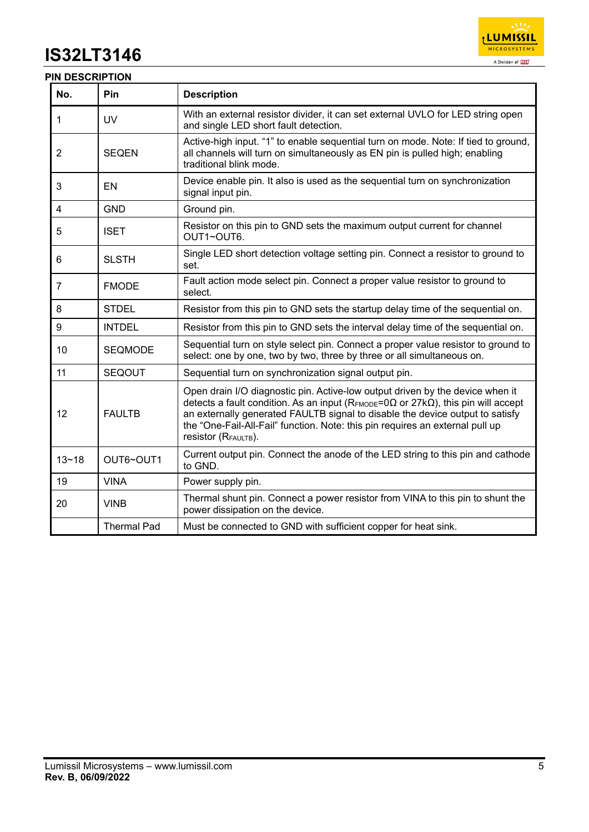

### **PIN DESCRIPTION**

| No.       | Pin                | <b>Description</b>                                                                                                                                                                                                                                                                                                                                                                      |
|-----------|--------------------|-----------------------------------------------------------------------------------------------------------------------------------------------------------------------------------------------------------------------------------------------------------------------------------------------------------------------------------------------------------------------------------------|
| 1         | <b>UV</b>          | With an external resistor divider, it can set external UVLO for LED string open<br>and single LED short fault detection.                                                                                                                                                                                                                                                                |
| 2         | <b>SEQEN</b>       | Active-high input. "1" to enable sequential turn on mode. Note: If tied to ground,<br>all channels will turn on simultaneously as EN pin is pulled high; enabling<br>traditional blink mode.                                                                                                                                                                                            |
| 3         | EN                 | Device enable pin. It also is used as the sequential turn on synchronization<br>signal input pin.                                                                                                                                                                                                                                                                                       |
| 4         | <b>GND</b>         | Ground pin.                                                                                                                                                                                                                                                                                                                                                                             |
| 5         | <b>ISET</b>        | Resistor on this pin to GND sets the maximum output current for channel<br>OUT1~OUT6.                                                                                                                                                                                                                                                                                                   |
| 6         | <b>SLSTH</b>       | Single LED short detection voltage setting pin. Connect a resistor to ground to<br>set.                                                                                                                                                                                                                                                                                                 |
| 7         | <b>FMODE</b>       | Fault action mode select pin. Connect a proper value resistor to ground to<br>select.                                                                                                                                                                                                                                                                                                   |
| 8         | <b>STDEL</b>       | Resistor from this pin to GND sets the startup delay time of the sequential on.                                                                                                                                                                                                                                                                                                         |
| 9         | <b>INTDEL</b>      | Resistor from this pin to GND sets the interval delay time of the sequential on.                                                                                                                                                                                                                                                                                                        |
| 10        | <b>SEQMODE</b>     | Sequential turn on style select pin. Connect a proper value resistor to ground to<br>select: one by one, two by two, three by three or all simultaneous on.                                                                                                                                                                                                                             |
| 11        | <b>SEQOUT</b>      | Sequential turn on synchronization signal output pin.                                                                                                                                                                                                                                                                                                                                   |
| 12        | <b>FAULTB</b>      | Open drain I/O diagnostic pin. Active-low output driven by the device when it<br>detects a fault condition. As an input ( $R_{FMODE} = 0\Omega$ or 27k $\Omega$ ), this pin will accept<br>an externally generated FAULTB signal to disable the device output to satisfy<br>the "One-Fail-All-Fail" function. Note: this pin requires an external pull up<br><b>resistor</b> (RFAULTB). |
| $13 - 18$ | OUT6~OUT1          | Current output pin. Connect the anode of the LED string to this pin and cathode<br>to GND.                                                                                                                                                                                                                                                                                              |
| 19        | <b>VINA</b>        | Power supply pin.                                                                                                                                                                                                                                                                                                                                                                       |
| 20        | <b>VINB</b>        | Thermal shunt pin. Connect a power resistor from VINA to this pin to shunt the<br>power dissipation on the device.                                                                                                                                                                                                                                                                      |
|           | <b>Thermal Pad</b> | Must be connected to GND with sufficient copper for heat sink.                                                                                                                                                                                                                                                                                                                          |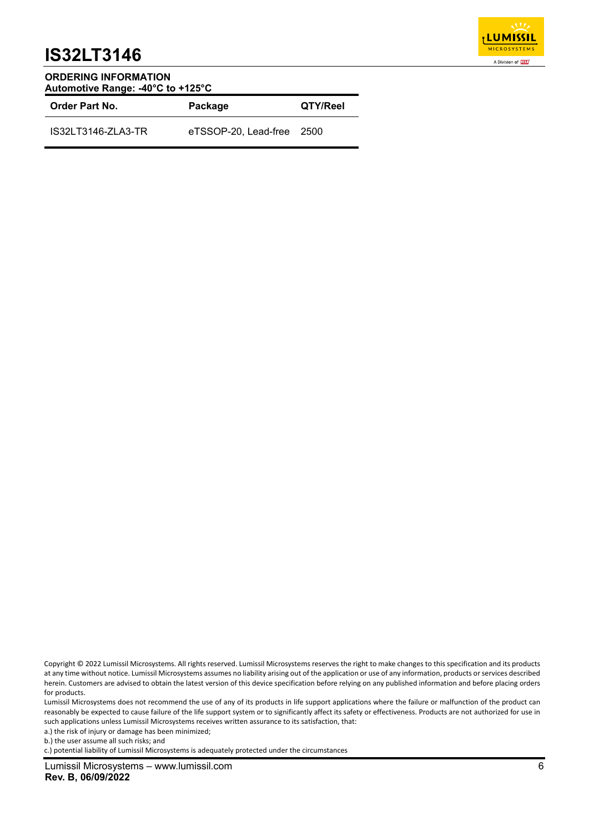

#### **ORDERING INFORMATION Automotive Range: -40°C to +125°C**

| <b>Order Part No.</b> | Package                   | QTY/Reel |  |
|-----------------------|---------------------------|----------|--|
| IS32LT3146-ZLA3-TR    | eTSSOP-20. Lead-free 2500 |          |  |

c.) potential liability of Lumissil Microsystems is adequately protected under the circumstances

Copyright © 2022 Lumissil Microsystems. All rights reserved. Lumissil Microsystems reserves the right to make changes to this specification and its products at any time without notice. Lumissil Microsystems assumes no liability arising out of the application or use of any information, products or services described herein. Customers are advised to obtain the latest version of this device specification before relying on any published information and before placing orders for products.

Lumissil Microsystems does not recommend the use of any of its products in life support applications where the failure or malfunction of the product can reasonably be expected to cause failure of the life support system or to significantly affect its safety or effectiveness. Products are not authorized for use in such applications unless Lumissil Microsystems receives written assurance to its satisfaction, that:

a.) the risk of injury or damage has been minimized;

b.) the user assume all such risks; and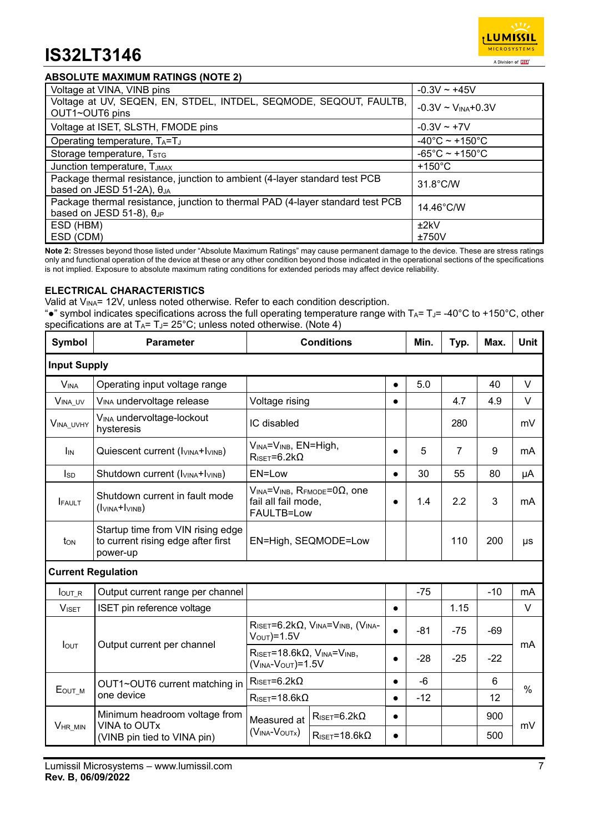### **ABSOLUTE MAXIMUM RATINGS (NOTE 2)**

| Voltage at VINA, VINB pins                                                                                           | $-0.3V \sim +45V$                   |
|----------------------------------------------------------------------------------------------------------------------|-------------------------------------|
| Voltage at UV, SEQEN, EN, STDEL, INTDEL, SEQMODE, SEQOUT, FAULTB,                                                    | $-0.3V \sim V_{INA} + 0.3V$         |
| OUT1~OUT6 pins                                                                                                       |                                     |
| Voltage at ISET, SLSTH, FMODE pins                                                                                   | $-0.3V \sim +7V$                    |
| Operating temperature, TA=TJ                                                                                         | $-40^{\circ}$ C ~ +150 $^{\circ}$ C |
| Storage temperature, TSTG                                                                                            | $-65^{\circ}$ C ~ +150 $^{\circ}$ C |
| Junction temperature, TJMAX                                                                                          | $+150^{\circ}$ C                    |
| Package thermal resistance, junction to ambient (4-layer standard test PCB<br>based on JESD 51-2A), $\theta_{JA}$    | 31.8°C/W                            |
| Package thermal resistance, junction to thermal PAD (4-layer standard test PCB<br>based on JESD 51-8), $\theta_{JP}$ | $14.46^{\circ}$ C/W                 |
| ESD (HBM)                                                                                                            | ±2kV                                |
| ESD (CDM)                                                                                                            | ±750V                               |

**Note 2:** Stresses beyond those listed under "Absolute Maximum Ratings" may cause permanent damage to the device. These are stress ratings only and functional operation of the device at these or any other condition beyond those indicated in the operational sections of the specifications is not implied. Exposure to absolute maximum rating conditions for extended periods may affect device reliability.

#### **ELECTRICAL CHARACTERISTICS**

Valid at V<sub>INA</sub>= 12V, unless noted otherwise. Refer to each condition description.

". "symbol indicates specifications across the full operating temperature range with TA= TJ= -40°C to +150°C, other specifications are at  $T_A = T_J = 25^{\circ}C$ ; unless noted otherwise. (Note 4)

| Symbol                 | <b>Parameter</b>                                                                    | <b>Conditions</b>                                                                                 |                                         |           | Min.  | Typ.           | Max.           | <b>Unit</b> |
|------------------------|-------------------------------------------------------------------------------------|---------------------------------------------------------------------------------------------------|-----------------------------------------|-----------|-------|----------------|----------------|-------------|
| <b>Input Supply</b>    |                                                                                     |                                                                                                   |                                         |           |       |                |                |             |
| <b>V<sub>INA</sub></b> | Operating input voltage range                                                       |                                                                                                   |                                         |           | 5.0   |                | 40             | $\vee$      |
| VINA_UV                | V <sub>INA</sub> undervoltage release                                               | Voltage rising                                                                                    |                                         | $\bullet$ |       | 4.7            | 4.9            | $\vee$      |
| VINA_UVHY              | V <sub>INA</sub> undervoltage-lockout<br>hysteresis                                 | IC disabled                                                                                       |                                         |           |       | 280            |                | mV          |
| I <sub>IN</sub>        | Quiescent current (IVINA+IVINB)                                                     | VINA=VINB, EN=High,<br>$R_{\text{ISET}} = 6.2 k\Omega$                                            |                                         | $\bullet$ | 5     | $\overline{7}$ | 9              | mA          |
| <b>I</b> sp            | Shutdown current (I <sub>VINA</sub> +I <sub>VINB</sub> )                            | EN=Low                                                                                            |                                         | $\bullet$ | 30    | 55             | 80             | μA          |
| <b>FAULT</b>           | Shutdown current in fault mode<br>$(l_{VINA} + l_{VINE})$                           | $V_{INA}=V_{INB}$ , RFMODE=0 $\Omega$ , one<br>fail all fail mode,<br>FAULTB=Low                  |                                         |           | 1.4   | 2.2            | 3              | mA          |
| ton                    | Startup time from VIN rising edge<br>to current rising edge after first<br>power-up | EN=High, SEQMODE=Low                                                                              |                                         |           |       | 110            | 200            | μs          |
|                        | <b>Current Regulation</b>                                                           |                                                                                                   |                                         |           |       |                |                |             |
| $IOUT_R$               | Output current range per channel                                                    |                                                                                                   |                                         |           | $-75$ |                | $-10$          | mA          |
| <b>VISET</b>           | ISET pin reference voltage                                                          |                                                                                                   |                                         | $\bullet$ |       | 1.15           |                | $\vee$      |
|                        |                                                                                     | $R$ ISET=6.2k $\Omega$ , VINA=VINB, (VINA-<br>$VOUT$ =1.5V                                        |                                         | $\bullet$ | $-81$ | $-75$          | $-69$          | mA          |
| <b>I</b> OUT           | Output current per channel                                                          | $R_{\text{ISET}} = 18.6 \text{k}\Omega$ , $V_{\text{INA}} = V_{\text{INB}}$<br>$(VINA-VOUT)=1.5V$ |                                         | $\bullet$ | $-28$ | $-25$          | $-22$          |             |
|                        | OUT1~OUT6 current matching in                                                       | $R_{\text{ISET}} = 6.2 k\Omega$                                                                   |                                         | $\bullet$ | $-6$  |                | $6\phantom{1}$ | $\%$        |
| Еоит м                 | one device                                                                          | $R_{\text{ISET}} = 18.6 \text{k}\Omega$                                                           |                                         | $\bullet$ | $-12$ |                | 12             |             |
|                        | Minimum headroom voltage from<br>VINA to OUTx                                       | Measured at                                                                                       | $R_{\text{ISET}} = 6.2 k\Omega$         | $\bullet$ |       |                | 900            |             |
| <b>VHR MIN</b>         | (VINB pin tied to VINA pin)                                                         | $(VINA-VOUTX)$                                                                                    | $R_{\text{ISET}} = 18.6 \text{k}\Omega$ | $\bullet$ |       |                | 500            | mV          |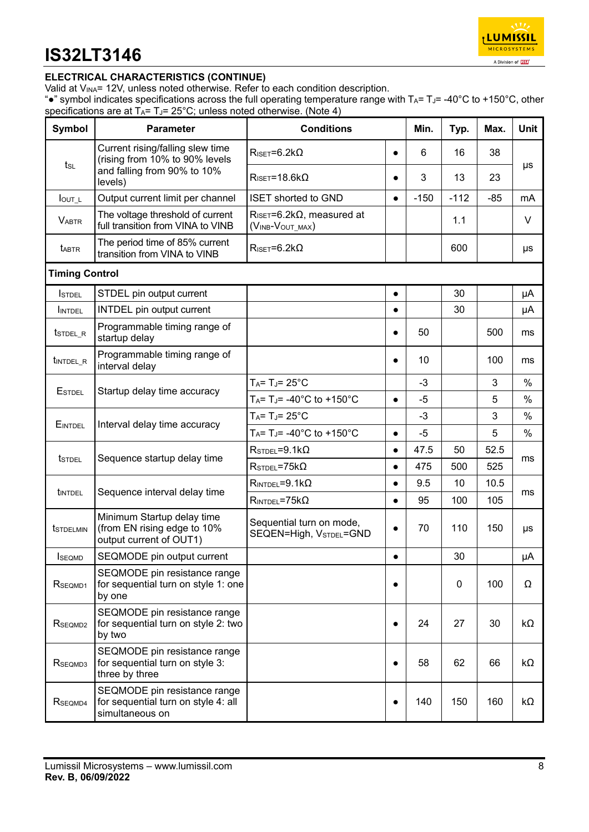

### **ELECTRICAL CHARACTERISTICS (CONTINUE)**

Valid at V<sub>INA</sub>= 12V, unless noted otherwise. Refer to each condition description.

". "symbol indicates specifications across the full operating temperature range with TA= TJ= -40°C to +150°C, other specifications are at  $T_A = T_J = 25^{\circ}C$ ; unless noted otherwise. (Note 4)

| Symbol                | <b>Parameter</b>                                                                       | <b>Conditions</b>                                                |           | Min.   | Typ.   | Max.  | <b>Unit</b> |
|-----------------------|----------------------------------------------------------------------------------------|------------------------------------------------------------------|-----------|--------|--------|-------|-------------|
| $t_{SL}$              | Current rising/falling slew time<br>(rising from 10% to 90% levels                     | $R_{\text{ISET}} = 6.2 k\Omega$                                  | $\bullet$ | 6      | 16     | 38    | μs          |
|                       | and falling from 90% to 10%<br>levels)                                                 | $R_{\text{ISET}} = 18.6 \text{k}\Omega$                          | $\bullet$ | 3      | 13     | 23    |             |
| $I_{\text{OUT}\_L}$   | Output current limit per channel                                                       | <b>ISET shorted to GND</b>                                       | $\bullet$ | $-150$ | $-112$ | $-85$ | mA          |
| <b>VABTR</b>          | The voltage threshold of current<br>full transition from VINA to VINB                  | $R_{\text{ISET}} = 6.2 k\Omega$ , measured at<br>(VINB-VOUT_MAX) |           |        | 1.1    |       | V           |
| <b>TABTR</b>          | The period time of 85% current<br>transition from VINA to VINB                         | $R_{\text{ISET}} = 6.2 k\Omega$                                  |           |        | 600    |       | μs          |
| <b>Timing Control</b> |                                                                                        |                                                                  |           |        |        |       |             |
| <b>I</b> STDEL        | STDEL pin output current                                                               |                                                                  | $\bullet$ |        | 30     |       | μA          |
| INTDEL                | <b>INTDEL</b> pin output current                                                       |                                                                  | $\bullet$ |        | 30     |       | μA          |
| t <sub>STDEL_R</sub>  | Programmable timing range of<br>startup delay                                          |                                                                  | $\bullet$ | 50     |        | 500   | ms          |
| tint DEL_R            | Programmable timing range of<br>interval delay                                         |                                                                  | $\bullet$ | 10     |        | 100   | ms          |
|                       |                                                                                        | $T_A = T_J = 25^{\circ}C$                                        |           | $-3$   |        | 3     | $\%$        |
| <b>ESTDEL</b>         | Startup delay time accuracy                                                            | $T_A = T_J = -40^{\circ}C$ to $+150^{\circ}C$                    | $\bullet$ | -5     |        | 5     | %           |
|                       |                                                                                        | $T_A = T_J = 25^{\circ}C$                                        |           | $-3$   |        | 3     | $\%$        |
| EINTDEL               | Interval delay time accuracy                                                           | $T_A = T_J = -40^{\circ}C$ to $+150^{\circ}C$                    | $\bullet$ | $-5$   |        | 5     | $\%$        |
|                       |                                                                                        | $RSTDEL=9.1k\Omega$                                              | $\bullet$ | 47.5   | 50     | 52.5  |             |
| <b>t</b> stdel        | Sequence startup delay time                                                            | $RSTDEL=75k\Omega$                                               | $\bullet$ | 475    | 500    | 525   | ms          |
|                       |                                                                                        | $R_{\text{INTDEL}} = 9.1 \text{k}\Omega$                         | $\bullet$ | 9.5    | 10     | 10.5  |             |
| <b>LINTDEL</b>        | Sequence interval delay time                                                           | $R_{INTDEL} = 75k\Omega$                                         | $\bullet$ | 95     | 100    | 105   | ms          |
| <b>t</b> STDELMIN     | Minimum Startup delay time<br>(from EN rising edge to 10%<br>output current of OUT1)   | Sequential turn on mode,<br>SEQEN=High, VSTDEL=GND               | $\bullet$ | 70     | 110    | 150   | μs          |
| <b>SEOMD</b>          | SEQMODE pin output current                                                             |                                                                  | $\bullet$ |        | 30     |       | $\mu A$     |
| RSEQMD1               | SEQMODE pin resistance range<br>for sequential turn on style 1: one<br>by one          |                                                                  | $\bullet$ |        | 0      | 100   | Ω           |
| RSEQMD2               | SEQMODE pin resistance range<br>for sequential turn on style 2: two<br>by two          |                                                                  | $\bullet$ | 24     | 27     | 30    | kΩ          |
| RSEQMD3               | SEQMODE pin resistance range<br>for sequential turn on style 3:<br>three by three      |                                                                  | $\bullet$ | 58     | 62     | 66    | kΩ          |
| RSEQMD4               | SEQMODE pin resistance range<br>for sequential turn on style 4: all<br>simultaneous on |                                                                  | $\bullet$ | 140    | 150    | 160   | kΩ          |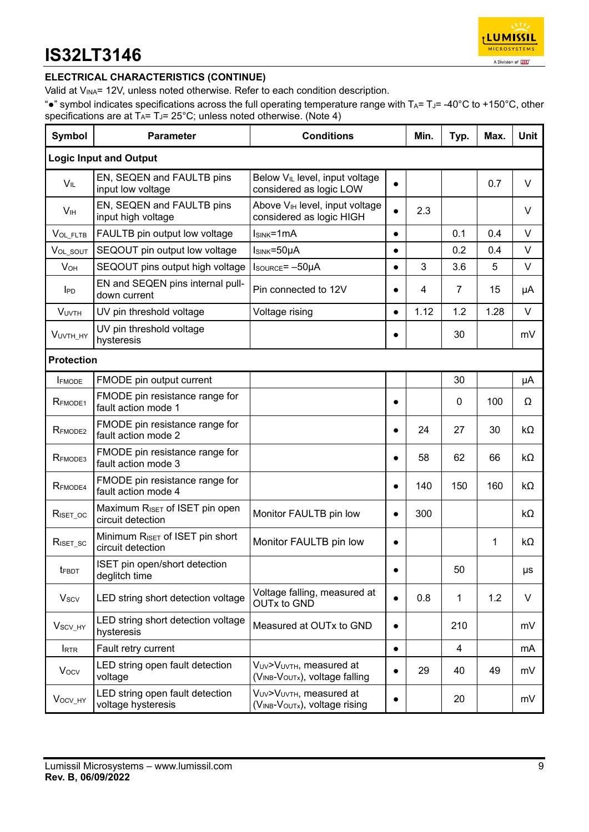

### **ELECTRICAL CHARACTERISTICS (CONTINUE)**

Valid at V<sub>INA</sub>= 12V, unless noted otherwise. Refer to each condition description.

"•" symbol indicates specifications across the full operating temperature range with TA= TJ= -40°C to +150°C, other specifications are at  $T_A = T_J = 25^{\circ}$ C; unless noted otherwise. (Note 4)

| <b>Symbol</b>         | <b>Parameter</b>                                                 | <b>Conditions</b>                                                      |           | Min. | Typ. | Max. | <b>Unit</b> |  |  |  |
|-----------------------|------------------------------------------------------------------|------------------------------------------------------------------------|-----------|------|------|------|-------------|--|--|--|
|                       | <b>Logic Input and Output</b>                                    |                                                                        |           |      |      |      |             |  |  |  |
| $V_{IL}$              | EN, SEQEN and FAULTB pins<br>input low voltage                   | Below V <sub>IL</sub> level, input voltage<br>considered as logic LOW  |           |      |      | 0.7  | $\vee$      |  |  |  |
| V <sub>IH</sub>       | EN, SEQEN and FAULTB pins<br>input high voltage                  | Above V <sub>IH</sub> level, input voltage<br>considered as logic HIGH |           | 2.3  |      |      | $\vee$      |  |  |  |
| VOL_FLTB              | FAULTB pin output low voltage                                    | $Isink=1mA$                                                            | $\bullet$ |      | 0.1  | 0.4  | V           |  |  |  |
| VOL_SOUT              | SEQOUT pin output low voltage                                    | Isink=50µA                                                             | $\bullet$ |      | 0.2  | 0.4  | $\vee$      |  |  |  |
| <b>V<sub>OH</sub></b> | SEQOUT pins output high voltage                                  | Isource= -50µA                                                         | $\bullet$ | 3    | 3.6  | 5    | $\vee$      |  |  |  |
| <b>IPD</b>            | EN and SEQEN pins internal pull-<br>down current                 | Pin connected to 12V                                                   | $\bullet$ | 4    | 7    | 15   | μA          |  |  |  |
| <b>VUVTH</b>          | UV pin threshold voltage                                         | Voltage rising                                                         | $\bullet$ | 1.12 | 1.2  | 1.28 | V           |  |  |  |
| VUVTH_HY              | UV pin threshold voltage<br>hysteresis                           |                                                                        |           |      | 30   |      | mV          |  |  |  |
| <b>Protection</b>     |                                                                  |                                                                        |           |      |      |      |             |  |  |  |
| <b>FMODE</b>          | FMODE pin output current                                         |                                                                        |           |      | 30   |      | μA          |  |  |  |
| RFMODE1               | FMODE pin resistance range for<br>fault action mode 1            |                                                                        | $\bullet$ |      | 0    | 100  | Ω           |  |  |  |
| RFMODE <sub>2</sub>   | FMODE pin resistance range for<br>fault action mode 2            |                                                                        | $\bullet$ | 24   | 27   | 30   | kΩ          |  |  |  |
| RFMODE3               | FMODE pin resistance range for<br>fault action mode 3            |                                                                        | $\bullet$ | 58   | 62   | 66   | kΩ          |  |  |  |
| R <sub>FMODE4</sub>   | FMODE pin resistance range for<br>fault action mode 4            |                                                                        | $\bullet$ | 140  | 150  | 160  | kΩ          |  |  |  |
| $R_{\text{ISET\_OC}}$ | Maximum RISET of ISET pin open<br>circuit detection              | Monitor FAULTB pin low                                                 | $\bullet$ | 300  |      |      | kΩ          |  |  |  |
| $R_{\text{ISET\_SC}}$ | Minimum R <sub>ISET</sub> of ISET pin short<br>circuit detection | Monitor FAULTB pin low                                                 | $\bullet$ |      |      | 1    | kΩ          |  |  |  |
| $t_{\mathsf{FBDT}}$   | ISET pin open/short detection<br>deglitch time                   |                                                                        | $\bullet$ |      | 50   |      | μs          |  |  |  |
| <b>Vscv</b>           | LED string short detection voltage                               | Voltage falling, measured at<br><b>OUTx to GND</b>                     |           | 0.8  | 1    | 1.2  | $\vee$      |  |  |  |
| V <sub>SCV_HY</sub>   | LED string short detection voltage<br>hysteresis                 | Measured at OUTx to GND                                                | $\bullet$ |      | 210  |      | mV          |  |  |  |
| <b>IRTR</b>           | Fault retry current                                              |                                                                        | $\bullet$ |      | 4    |      | mA          |  |  |  |
| $V_{OCV}$             | LED string open fault detection<br>voltage                       | VUV>VUVTH, measured at<br>(VINB-VOUTx), voltage falling                | $\bullet$ | 29   | 40   | 49   | mV          |  |  |  |
| Vocv_HY               | LED string open fault detection<br>voltage hysteresis            | VUV>VUVTH, measured at<br>(VINB-VOUTx), voltage rising                 |           |      | 20   |      | mV          |  |  |  |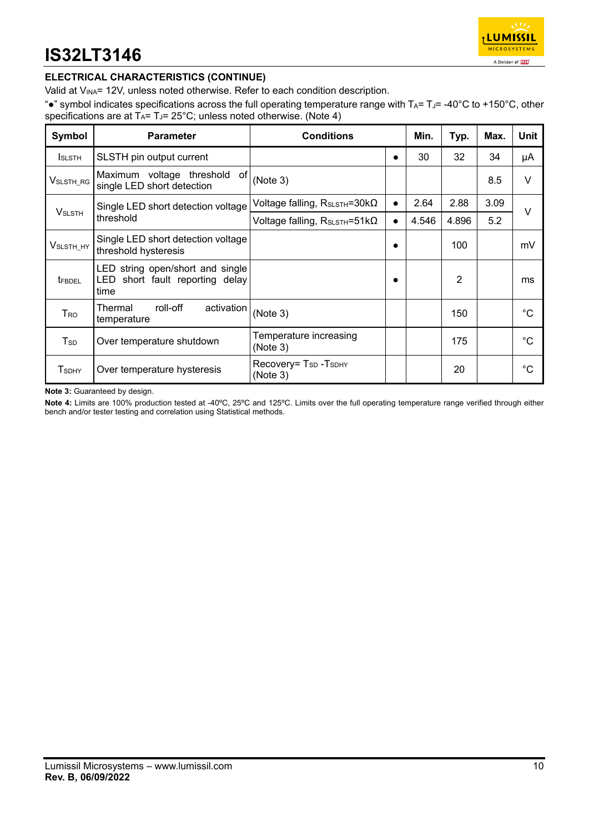

### **ELECTRICAL CHARACTERISTICS (CONTINUE)**

Valid at V<sub>INA</sub>= 12V, unless noted otherwise. Refer to each condition description.

"•" symbol indicates specifications across the full operating temperature range with  $T_A = T_J = -40^{\circ}C$  to +150°C, other specifications are at  $T_A = T_J = 25^\circ C$ ; unless noted otherwise. (Note 4)

| Symbol                | <b>Parameter</b>                                                               | <b>Conditions</b>                                        |           | Min.  | Typ.  | Max. | Unit |
|-----------------------|--------------------------------------------------------------------------------|----------------------------------------------------------|-----------|-------|-------|------|------|
| <b>I</b> SLSTH        | SLSTH pin output current                                                       |                                                          | ٠         | 30    | 32    | 34   | μA   |
| $V$ slsth_rg          | Maximum voltage threshold<br>of<br>single LED short detection                  | (Note 3)                                                 |           |       |       | 8.5  | V    |
| <b>VSLSTH</b>         | Single LED short detection voltage                                             | Voltage falling, R <sub>SLSTH</sub> =30kΩ                | $\bullet$ | 2.64  | 2.88  | 3.09 | V    |
|                       | threshold                                                                      | Voltage falling, R <sub>SLSTH</sub> =51kΩ                | $\bullet$ | 4.546 | 4.896 | 5.2  |      |
| V <sub>SLSTH_HY</sub> | Single LED short detection voltage<br>threshold hysteresis                     |                                                          | $\bullet$ |       | 100   |      | mV   |
| <b>TFBDEL</b>         | LED string open/short and single<br>short fault reporting delay<br>LED<br>time |                                                          |           |       | 2     |      | ms   |
| Tro                   | roll-off<br>activation<br>Thermal<br>temperature                               | (Note 3)                                                 |           |       | 150   |      | °C   |
| T <sub>sp</sub>       | Over temperature shutdown                                                      | Temperature increasing<br>(Note 3)                       |           |       | 175   |      | °C   |
| <b>TSDHY</b>          | Over temperature hysteresis                                                    | Recovery= T <sub>SD</sub> -T <sub>SDHY</sub><br>(Note 3) |           |       | 20    |      | °C   |

**Note 3:** Guaranteed by design.

**Note 4:** Limits are 100% production tested at -40ºC, 25ºC and 125ºC. Limits over the full operating temperature range verified through either bench and/or tester testing and correlation using Statistical methods.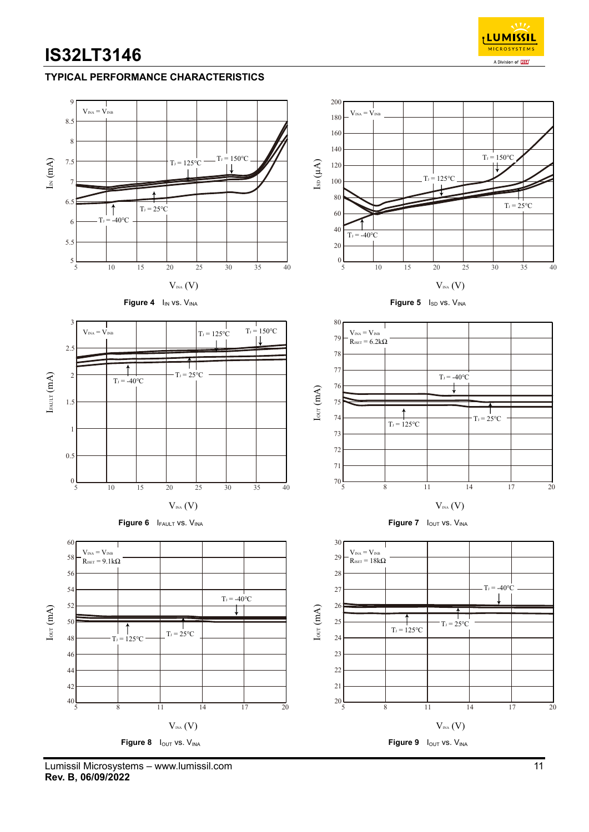### **TYPICAL PERFORMANCE CHARACTERISTICS**



Lumissil Microsystems – www.lumissil.com 11 **Rev. B, 06/09/2022**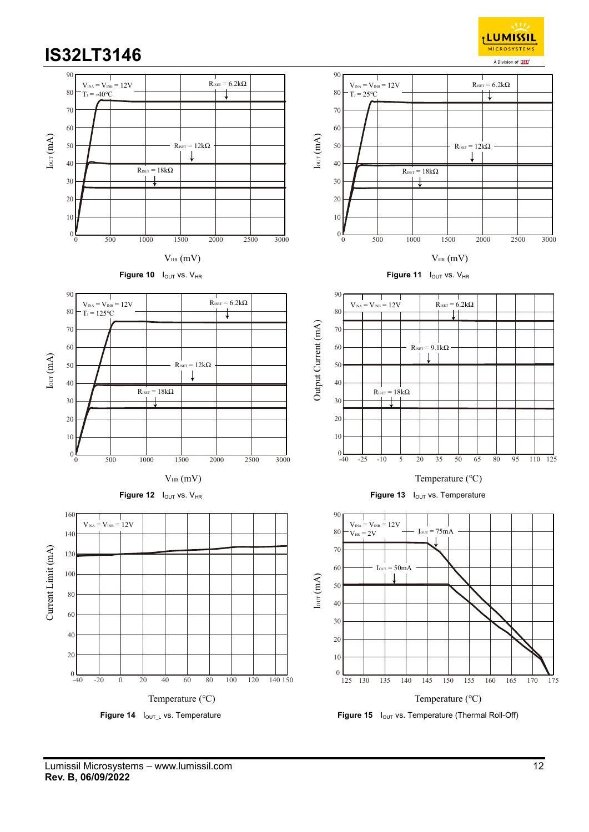<sub>I</sub>LUMISSIL **MICROSYSTEMS** A Division of **ISS** 

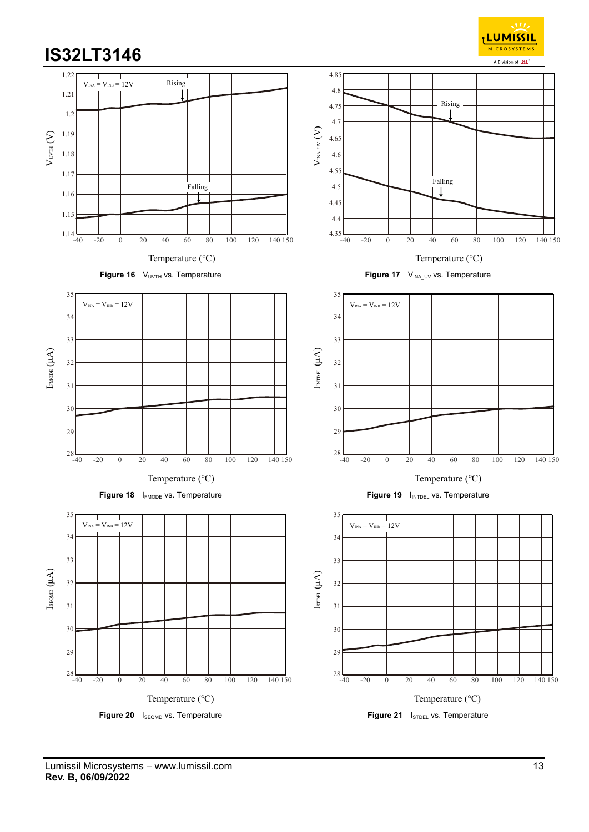

<sub>I</sub> LUMISSIL **MICROSYSTEMS**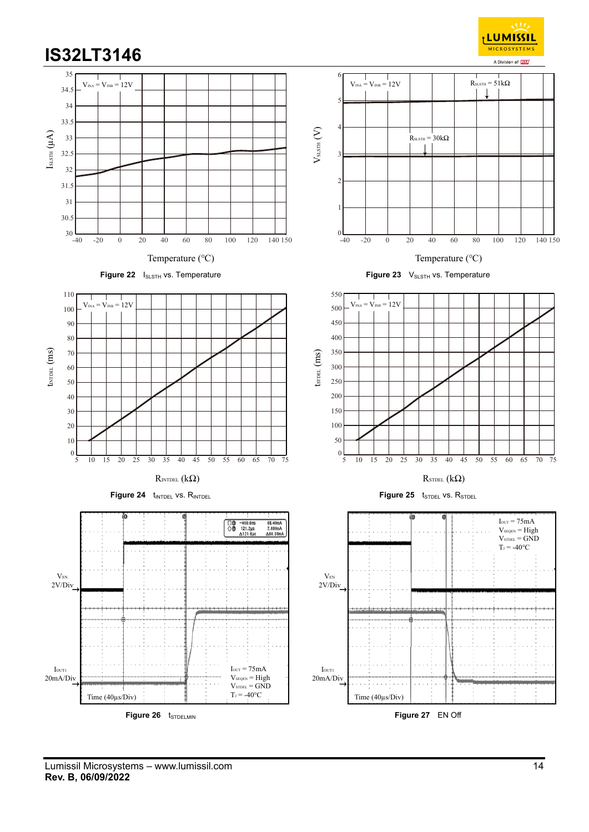<sub>I</sub> LUMISSIL **MICROSYSTEMS** A Division of **ISS** 



Lumissil Microsystems – www.lumissil.com 14 **Rev. B, 06/09/2022**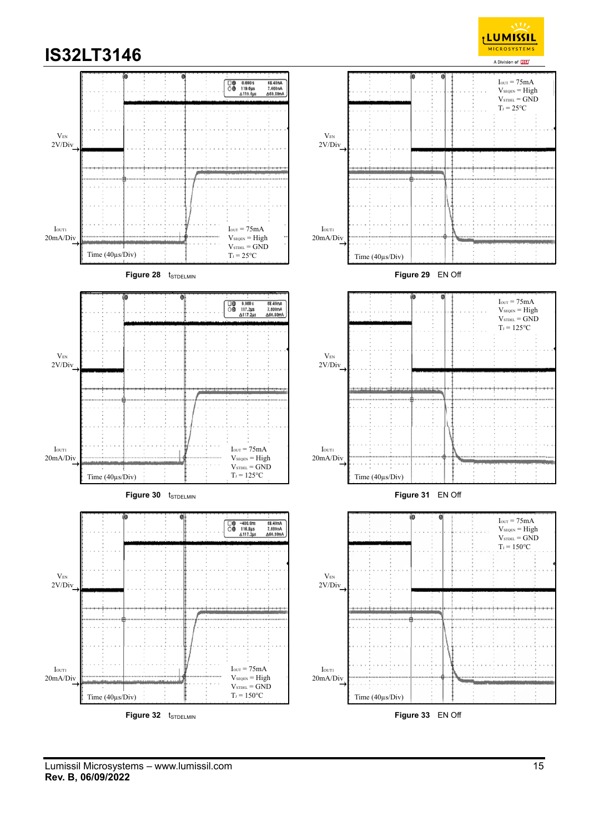

Lumissil Microsystems – www.lumissil.com 15 **Rev. B, 06/09/2022**

<sub>I</sub>LUMISSIL **MICROSYSTEMS**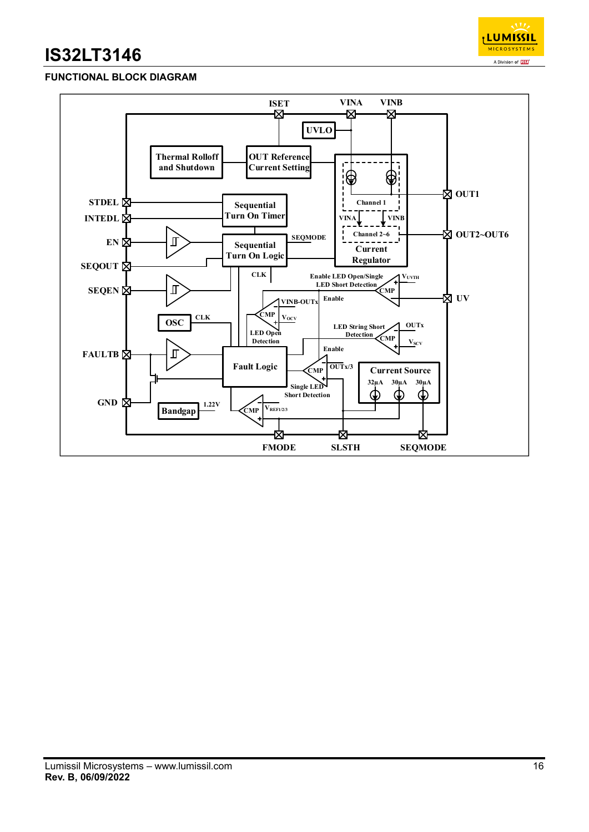

### **FUNCTIONAL BLOCK DIAGRAM**

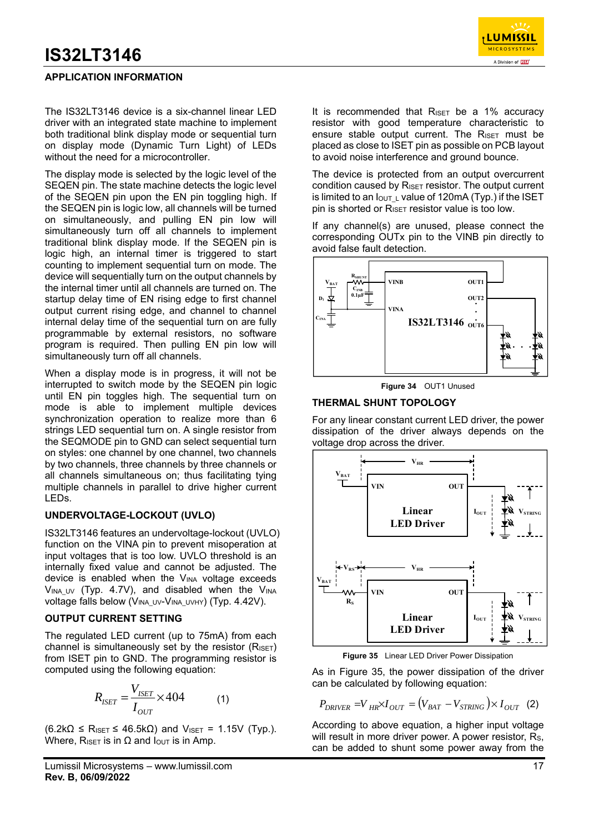### **APPLICATION INFORMATION**

The IS32LT3146 device is a six-channel linear LED driver with an integrated state machine to implement both traditional blink display mode or sequential turn on display mode (Dynamic Turn Light) of LEDs without the need for a microcontroller.

The display mode is selected by the logic level of the SEQEN pin. The state machine detects the logic level of the SEQEN pin upon the EN pin toggling high. If the SEQEN pin is logic low, all channels will be turned on simultaneously, and pulling EN pin low will simultaneously turn off all channels to implement traditional blink display mode. If the SEQEN pin is logic high, an internal timer is triggered to start counting to implement sequential turn on mode. The device will sequentially turn on the output channels by the internal timer until all channels are turned on. The startup delay time of EN rising edge to first channel output current rising edge, and channel to channel internal delay time of the sequential turn on are fully programmable by external resistors, no software program is required. Then pulling EN pin low will simultaneously turn off all channels.

When a display mode is in progress, it will not be interrupted to switch mode by the SEQEN pin logic until EN pin toggles high. The sequential turn on mode is able to implement multiple devices synchronization operation to realize more than 6 strings LED sequential turn on. A single resistor from the SEQMODE pin to GND can select sequential turn on styles: one channel by one channel, two channels by two channels, three channels by three channels or all channels simultaneous on; thus facilitating tying multiple channels in parallel to drive higher current LEDs.

#### **UNDERVOLTAGE-LOCKOUT (UVLO)**

IS32LT3146 features an undervoltage-lockout (UVLO) function on the VINA pin to prevent misoperation at input voltages that is too low. UVLO threshold is an internally fixed value and cannot be adjusted. The device is enabled when the V<sub>INA</sub> voltage exceeds  $V_{\text{INA UV}}$  (Typ. 4.7V), and disabled when the V<sub>INA</sub> voltage falls below (VINA\_UV-VINA\_UVHY) (Typ. 4.42V).

#### **OUTPUT CURRENT SETTING**

The regulated LED current (up to 75mA) from each channel is simultaneously set by the resistor  $(R_{\text{ISET}})$ from ISET pin to GND. The programming resistor is computed using the following equation:

$$
R_{ISET} = \frac{V_{ISET}}{I_{OUT}} \times 404
$$
 (1)

 $(6.2k\Omega \leq R_{ISET} \leq 46.5k\Omega)$  and V<sub>ISET</sub> = 1.15V (Typ.). Where, R<sub>ISET</sub> is in  $\Omega$  and  $I_{\text{OUT}}$  is in Amp.

It is recommended that  $R_{\text{ISET}}$  be a 1% accuracy resistor with good temperature characteristic to ensure stable output current. The RISET must be placed as close to ISET pin as possible on PCB layout to avoid noise interference and ground bounce.

The device is protected from an output overcurrent condition caused by RISET resistor. The output current is limited to an  $I_{\text{OUT}}$  L value of 120mA (Typ.) if the ISET pin is shorted or  $R_{\text{ISET}}$  resistor value is too low.

If any channel(s) are unused, please connect the corresponding OUTx pin to the VINB pin directly to avoid false fault detection.



**Figure 34** OUT1 Unused

#### **THERMAL SHUNT TOPOLOGY**

For any linear constant current LED driver, the power dissipation of the driver always depends on the voltage drop across the driver.



**Figure 35** Linear LED Driver Power Dissipation

As in Figure 35, the power dissipation of the driver can be calculated by following equation:

$$
P_{DRIVER} = V_{HR} \times I_{OUT} = (V_{BAT} - V_{STRING}) \times I_{OUT}
$$
 (2)

According to above equation, a higher input voltage will result in more driver power. A power resistor, Rs, can be added to shunt some power away from the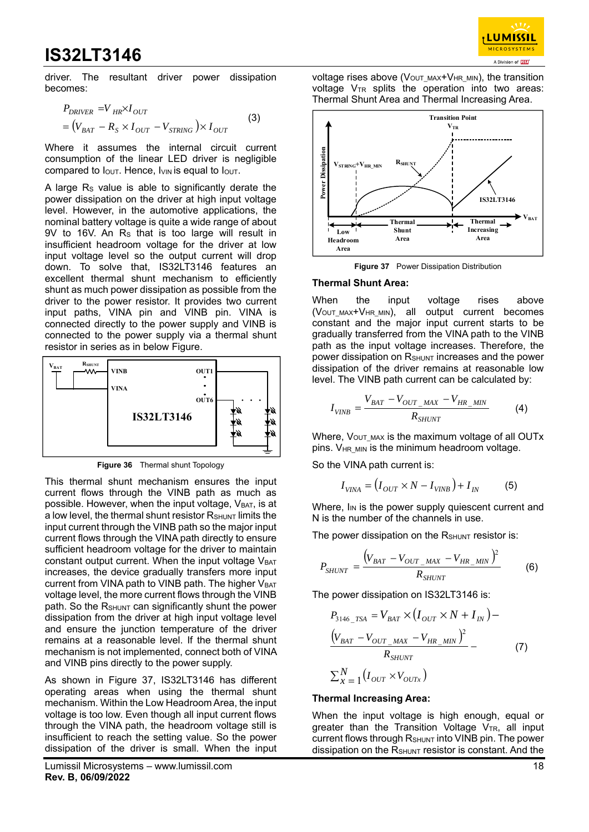

driver. The resultant driver power dissipation becomes:

$$
P_{DRIVER} = V_{HR} \times I_{OUT}
$$
  
=  $(V_{BAT} - R_S \times I_{OUT} - V_{STRING}) \times I_{OUT}$  (3)

Where it assumes the internal circuit current consumption of the linear LED driver is negligible compared to  $I<sub>OUT</sub>$ . Hence,  $I<sub>VIN</sub>$  is equal to  $I<sub>OUT</sub>$ .

A large Rs value is able to significantly derate the power dissipation on the driver at high input voltage level. However, in the automotive applications, the nominal battery voltage is quite a wide range of about 9V to 16V. An RS that is too large will result in insufficient headroom voltage for the driver at low input voltage level so the output current will drop down. To solve that, IS32LT3146 features an excellent thermal shunt mechanism to efficiently shunt as much power dissipation as possible from the driver to the power resistor. It provides two current input paths, VINA pin and VINB pin. VINA is connected directly to the power supply and VINB is connected to the power supply via a thermal shunt resistor in series as in below Figure.



**Figure 36** Thermal shunt Topology

This thermal shunt mechanism ensures the input current flows through the VINB path as much as possible. However, when the input voltage,  $V_{BAT}$ , is at a low level, the thermal shunt resistor  $R_{\text{SHUNT}}$  limits the input current through the VINB path so the major input current flows through the VINA path directly to ensure sufficient headroom voltage for the driver to maintain constant output current. When the input voltage  $V_{BAT}$ increases, the device gradually transfers more input current from VINA path to VINB path. The higher VBAT voltage level, the more current flows through the VINB path. So the RSHUNT can significantly shunt the power dissipation from the driver at high input voltage level and ensure the junction temperature of the driver remains at a reasonable level. If the thermal shunt mechanism is not implemented, connect both of VINA and VINB pins directly to the power supply.

As shown in Figure 37, IS32LT3146 has different operating areas when using the thermal shunt mechanism. Within the Low Headroom Area, the input voltage is too low. Even though all input current flows through the VINA path, the headroom voltage still is insufficient to reach the setting value. So the power dissipation of the driver is small. When the input

voltage rises above (V<sub>OUT MAX</sub>+V<sub>HR MIN</sub>), the transition voltage  $V_{TR}$  splits the operation into two areas: Thermal Shunt Area and Thermal Increasing Area.



**Figure 37** Power Dissipation Distribution

#### **Thermal Shunt Area:**

When the input voltage rises above  $(V<sub>OUT MAX</sub>+V<sub>HR MIN</sub>)$ , all output current becomes constant and the major input current starts to be gradually transferred from the VINA path to the VINB path as the input voltage increases. Therefore, the power dissipation on R<sub>SHUNT</sub> increases and the power dissipation of the driver remains at reasonable low level. The VINB path current can be calculated by:

$$
I_{VINB} = \frac{V_{BAT} - V_{OUT\_MAX} - V_{HR\_MIN}}{R_{SHUNT}}
$$
(4)

Where,  $V_{OUT MAX}$  is the maximum voltage of all OUTx pins. V<sub>HR MIN</sub> is the minimum headroom voltage.

So the VINA path current is:

$$
I_{VINA} = (I_{OUT} \times N - I_{VINB}) + I_{IN}
$$
 (5)

Where,  $I_{IN}$  is the power supply quiescent current and N is the number of the channels in use.

The power dissipation on the  $R_{\text{SHUNT}}$  resistor is:

$$
P_{SHUNT} = \frac{\left(V_{BAT} - V_{OUT\_MAX} - V_{HR\_MIN}\right)^2}{R_{SHUNT}} \tag{6}
$$

The power dissipation on IS32LT3146 is:

$$
P_{3146\_TSA} = V_{BAT} \times (I_{OUT} \times N + I_{IN}) -
$$
  
\n
$$
\frac{(V_{BAT} - V_{OUT\_MAX} - V_{HR\_MIN})^2}{R_{SHUNT}} -
$$
 (7)  
\n
$$
\sum_{x=1}^{N} (I_{OUT} \times V_{OUTx})
$$

### **Thermal Increasing Area:**

When the input voltage is high enough, equal or greater than the Transition Voltage  $V_{TR}$ , all input current flows through RSHUNT into VINB pin. The power dissipation on the RSHUNT resistor is constant. And the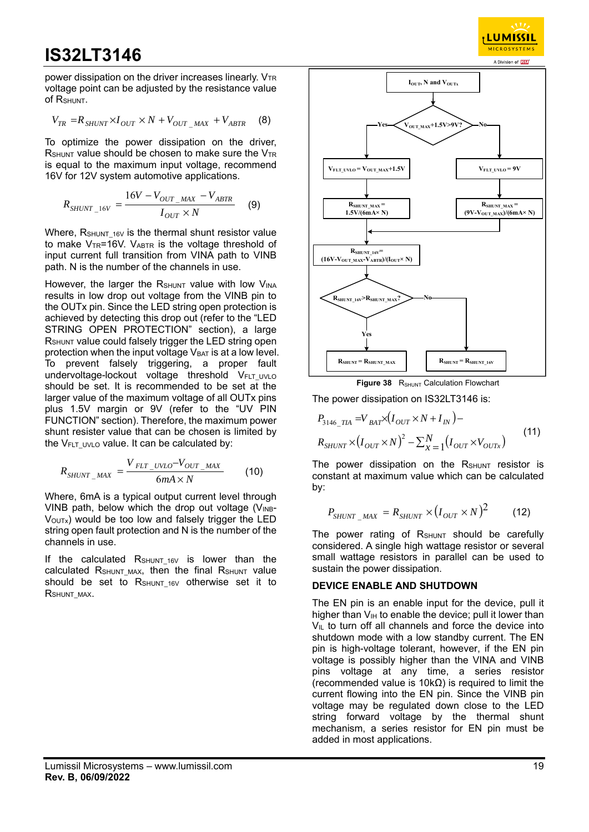power dissipation on the driver increases linearly.  $V_{TR}$ voltage point can be adjusted by the resistance value of RSHUNT.

$$
V_{TR} = R_{SHUNT} \times I_{OUT} \times N + V_{OUT\_MAX} + V_{ABTR}
$$
 (8)

To optimize the power dissipation on the driver,  $R_{\text{SHUNT}}$  value should be chosen to make sure the  $V_{TR}$ is equal to the maximum input voltage, recommend 16V for 12V system automotive applications.

$$
R_{SHUNT\_16V} = \frac{16V - V_{OUT\_MAX} - V_{ABTR}}{I_{OUT} \times N}
$$
 (9)

Where,  $R_{\text{SHUNT-16V}}$  is the thermal shunt resistor value to make  $V_{TR}$ =16V. V<sub>ABTR</sub> is the voltage threshold of input current full transition from VINA path to VINB path. N is the number of the channels in use.

However, the larger the  $R_{\text{SHUNT}}$  value with low  $V_{\text{INA}}$ results in low drop out voltage from the VINB pin to the OUTx pin. Since the LED string open protection is achieved by detecting this drop out (refer to the "LED STRING OPEN PROTECTION" section), a large R<sub>SHUNT</sub> value could falsely trigger the LED string open protection when the input voltage  $V_{BAT}$  is at a low level. To prevent falsely triggering, a proper fault undervoltage-lockout voltage threshold VFLT\_UVLO should be set. It is recommended to be set at the larger value of the maximum voltage of all OUTx pins plus 1.5V margin or 9V (refer to the "UV PIN FUNCTION" section). Therefore, the maximum power shunt resister value that can be chosen is limited by the  $V_{FLT}$  uvlo value. It can be calculated by:

$$
R_{SHUNT\_MAX} = \frac{V_{FLT\_UVLO} - V_{OUT\_MAX}}{6mA \times N}
$$
 (10)

Where, 6mA is a typical output current level through VINB path, below which the drop out voltage ( $V_{INB}$ -VOUTx) would be too low and falsely trigger the LED string open fault protection and N is the number of the channels in use.

If the calculated  $R_{\text{SHUNT 16V}}$  is lower than the calculated RSHUNT MAX, then the final RSHUNT value should be set to  $R_{\text{SHUNT 16V}}$  otherwise set it to RSHUNT\_MAX.



 $23772$ LUMISSIL **MICROSYSTEMS** 

**Figure 38** R<sub>SHUNT</sub> Calculation Flowchart

The power dissipation on IS32LT3146 is:

$$
P_{3146\_TIA} = V_{BAT} \times (I_{OUT} \times N + I_{IN}) -
$$
  
\n
$$
R_{SHUNT} \times (I_{OUT} \times N)^2 - \sum_{x=1}^{N} (I_{OUT} \times V_{OUTx})
$$
\n(11)

The power dissipation on the  $R_{\text{SHUNT}}$  resistor is constant at maximum value which can be calculated by:

$$
P_{SHUNT\_MAX} = R_{SHUNT} \times (I_{OUT} \times N)^2 \tag{12}
$$

The power rating of  $R_{SHUNT}$  should be carefully considered. A single high wattage resistor or several small wattage resistors in parallel can be used to sustain the power dissipation.

#### **DEVICE ENABLE AND SHUTDOWN**

The EN pin is an enable input for the device, pull it higher than  $V_{\text{IH}}$  to enable the device; pull it lower than  $V_{IL}$  to turn off all channels and force the device into shutdown mode with a low standby current. The EN pin is high-voltage tolerant, however, if the EN pin voltage is possibly higher than the VINA and VINB pins voltage at any time, a series resistor (recommended value is 10kΩ) is required to limit the current flowing into the EN pin. Since the VINB pin voltage may be regulated down close to the LED string forward voltage by the thermal shunt mechanism, a series resistor for EN pin must be added in most applications.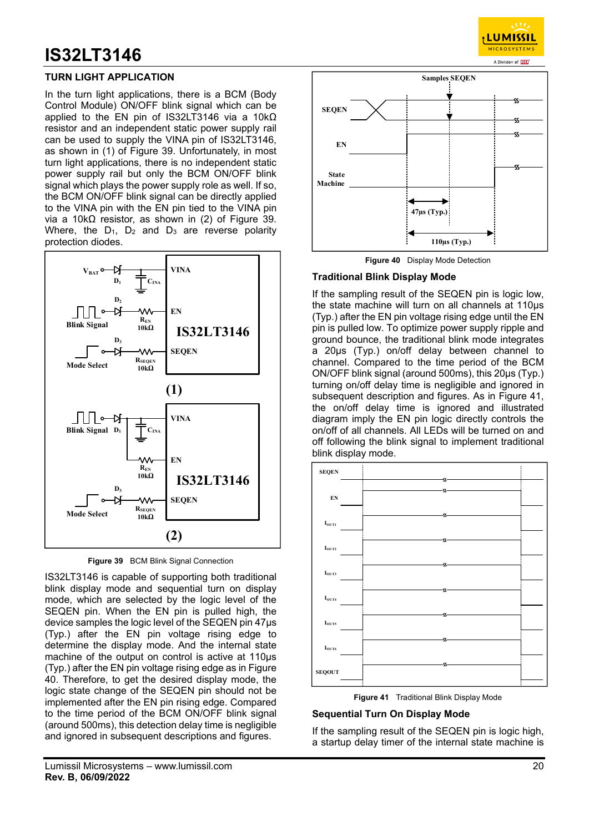### **TURN LIGHT APPLICATION**

In the turn light applications, there is a BCM (Body Control Module) ON/OFF blink signal which can be applied to the EN pin of IS32LT3146 via a 10kΩ resistor and an independent static power supply rail can be used to supply the VINA pin of IS32LT3146, as shown in (1) of Figure 39. Unfortunately, in most turn light applications, there is no independent static power supply rail but only the BCM ON/OFF blink signal which plays the power supply role as well. If so, the BCM ON/OFF blink signal can be directly applied to the VINA pin with the EN pin tied to the VINA pin via a 10kΩ resistor, as shown in (2) of Figure 39. Where, the  $D_1$ ,  $D_2$  and  $D_3$  are reverse polarity protection diodes.



**Figure 39** BCM Blink Signal Connection

IS32LT3146 is capable of supporting both traditional blink display mode and sequential turn on display mode, which are selected by the logic level of the SEQEN pin. When the EN pin is pulled high, the device samples the logic level of the SEQEN pin 47µs (Typ.) after the EN pin voltage rising edge to determine the display mode. And the internal state machine of the output on control is active at 110µs (Typ.) after the EN pin voltage rising edge as in Figure 40. Therefore, to get the desired display mode, the logic state change of the SEQEN pin should not be implemented after the EN pin rising edge. Compared to the time period of the BCM ON/OFF blink signal (around 500ms), this detection delay time is negligible and ignored in subsequent descriptions and figures.



<mark>, LUMISSI L</mark> **MICROSYSTEM** 

**Figure 40** Display Mode Detection

#### **Traditional Blink Display Mode**

If the sampling result of the SEQEN pin is logic low, the state machine will turn on all channels at 110µs (Typ.) after the EN pin voltage rising edge until the EN pin is pulled low. To optimize power supply ripple and ground bounce, the traditional blink mode integrates a 20µs (Typ.) on/off delay between channel to channel. Compared to the time period of the BCM ON/OFF blink signal (around 500ms), this 20µs (Typ.) turning on/off delay time is negligible and ignored in subsequent description and figures. As in Figure 41, the on/off delay time is ignored and illustrated diagram imply the EN pin logic directly controls the on/off of all channels. All LEDs will be turned on and off following the blink signal to implement traditional blink display mode.



**Figure 41** Traditional Blink Display Mode

#### **Sequential Turn On Display Mode**

If the sampling result of the SEQEN pin is logic high, a startup delay timer of the internal state machine is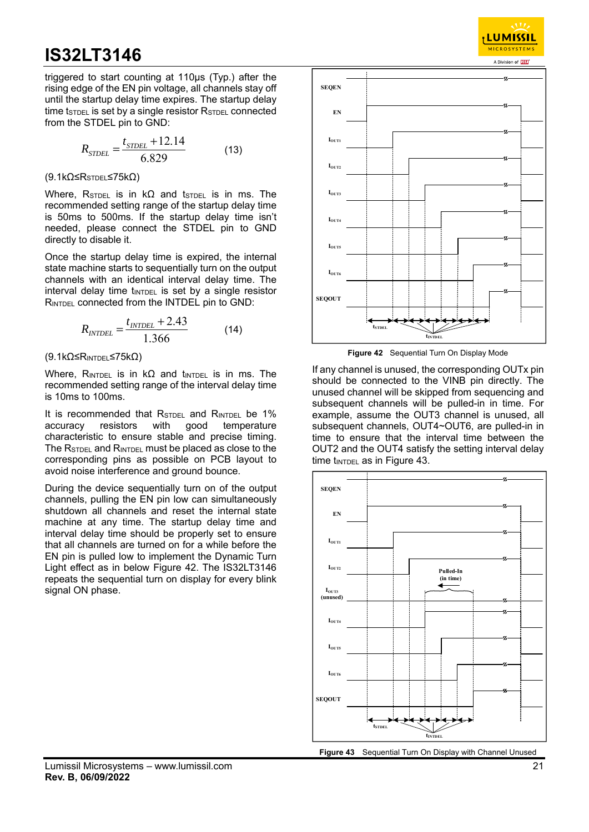triggered to start counting at 110µs (Typ.) after the rising edge of the EN pin voltage, all channels stay off until the startup delay time expires. The startup delay time t $STDEL$  is set by a single resistor  $RSTDEL$  connected from the STDEL pin to GND:

$$
R_{STDEL} = \frac{t_{STDEL} + 12.14}{6.829} \tag{13}
$$

(9.1kΩ≤RSTDEL≤75kΩ)

Where, R<sub>STDEL</sub> is in kΩ and t<sub>STDEL</sub> is in ms. The recommended setting range of the startup delay time is 50ms to 500ms. If the startup delay time isn't needed, please connect the STDEL pin to GND directly to disable it.

Once the startup delay time is expired, the internal state machine starts to sequentially turn on the output channels with an identical interval delay time. The  $interval$  delay time t**INTDEL** is set by a single resistor RINTDEL connected from the INTDEL pin to GND:

$$
R_{\text{INTER}} = \frac{t_{\text{INTER}} + 2.43}{1.366} \tag{14}
$$

 $(9.1kΩ ≤ R<sub>INTDEL</sub> ≤ 75kΩ)$ 

Where, RINTDEL is in  $k\Omega$  and tINTDEL is in ms. The recommended setting range of the interval delay time is 10ms to 100ms.

It is recommended that RSTDEL and RINTDEL be 1% accuracy resistors with good temperature characteristic to ensure stable and precise timing. The RSTDEL and RINTDEL must be placed as close to the corresponding pins as possible on PCB layout to avoid noise interference and ground bounce.

During the device sequentially turn on of the output channels, pulling the EN pin low can simultaneously shutdown all channels and reset the internal state machine at any time. The startup delay time and interval delay time should be properly set to ensure that all channels are turned on for a while before the EN pin is pulled low to implement the Dynamic Turn Light effect as in below Figure 42. The IS32LT3146 repeats the sequential turn on display for every blink signal ON phase.



**LUMISSIL MICROSYSTEM** 

**Figure 42** Sequential Turn On Display Mode

If any channel is unused, the corresponding OUTx pin should be connected to the VINB pin directly. The unused channel will be skipped from sequencing and subsequent channels will be pulled-in in time. For example, assume the OUT3 channel is unused, all subsequent channels, OUT4~OUT6, are pulled-in in time to ensure that the interval time between the OUT2 and the OUT4 satisfy the setting interval delay time  $t_{\text{INTER}}$  as in Figure 43.



**Figure 43** Sequential Turn On Display with Channel Unused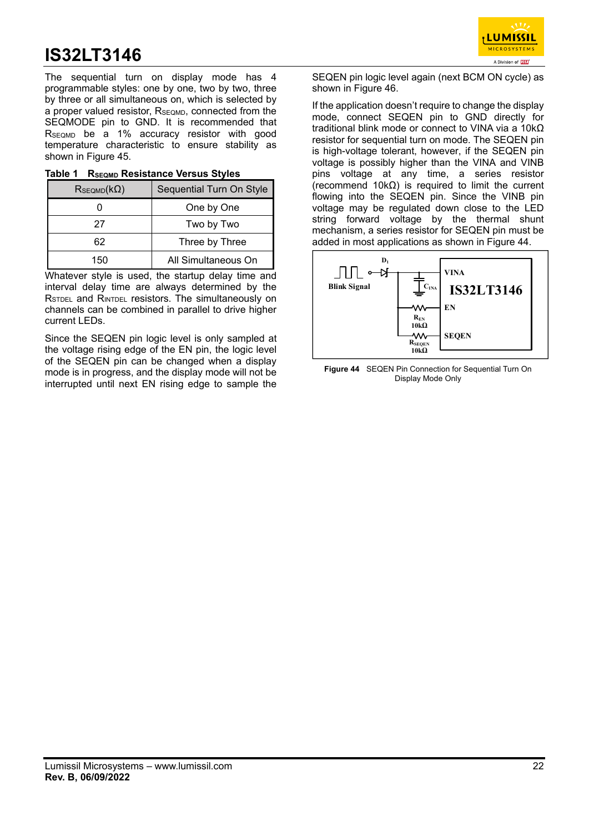LUMISSIL **MICROSYSTEMS** A Division of **ISS** 

The sequential turn on display mode has 4 programmable styles: one by one, two by two, three by three or all simultaneous on, which is selected by a proper valued resistor, R<sub>SEQMD</sub>, connected from the SEQMODE pin to GND. It is recommended that RSEQMD be a 1% accuracy resistor with good temperature characteristic to ensure stability as shown in Figure 45.

| Table 1 RSEQMD Resistance Versus Styles |
|-----------------------------------------|
|-----------------------------------------|

| $R_{SEQMD}(k\Omega)$ | Sequential Turn On Style |
|----------------------|--------------------------|
|                      | One by One               |
| 27                   | Two by Two               |
| 62                   | Three by Three           |
| 150                  | All Simultaneous On      |

Whatever style is used, the startup delay time and interval delay time are always determined by the RSTDEL and RINTDEL resistors. The simultaneously on channels can be combined in parallel to drive higher current LEDs.

Since the SEQEN pin logic level is only sampled at the voltage rising edge of the EN pin, the logic level of the SEQEN pin can be changed when a display mode is in progress, and the display mode will not be interrupted until next EN rising edge to sample the

SEQEN pin logic level again (next BCM ON cycle) as shown in Figure 46.

If the application doesn't require to change the display mode, connect SEQEN pin to GND directly for traditional blink mode or connect to VINA via a 10kΩ resistor for sequential turn on mode. The SEQEN pin is high-voltage tolerant, however, if the SEQEN pin voltage is possibly higher than the VINA and VINB pins voltage at any time, a series resistor (recommend 10kΩ) is required to limit the current flowing into the SEQEN pin. Since the VINB pin voltage may be regulated down close to the LED string forward voltage by the thermal shunt mechanism, a series resistor for SEQEN pin must be added in most applications as shown in Figure 44.



**Figure 44** SEQEN Pin Connection for Sequential Turn On Display Mode Only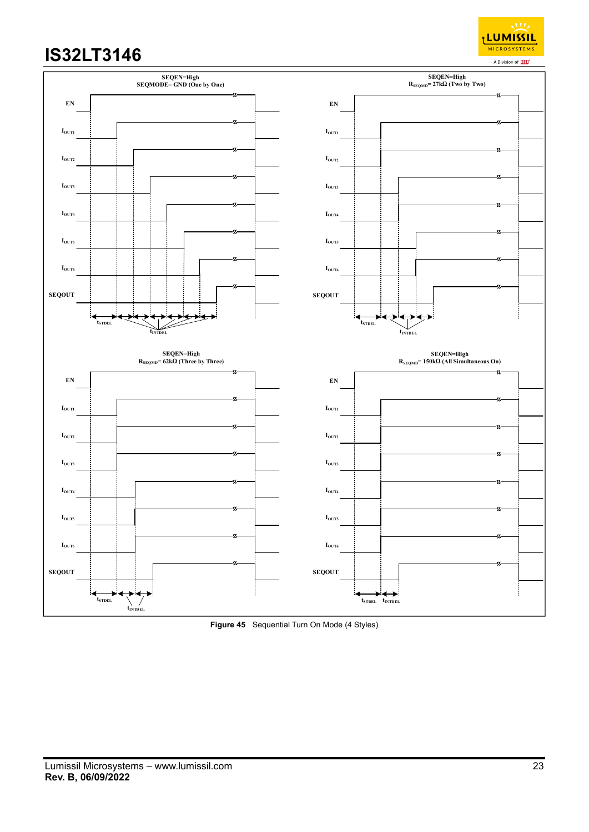<sub>I</sub>LUMISSIL **MICROSYSTEMS** A Division of **ISS** 



**Figure 45** Sequential Turn On Mode (4 Styles)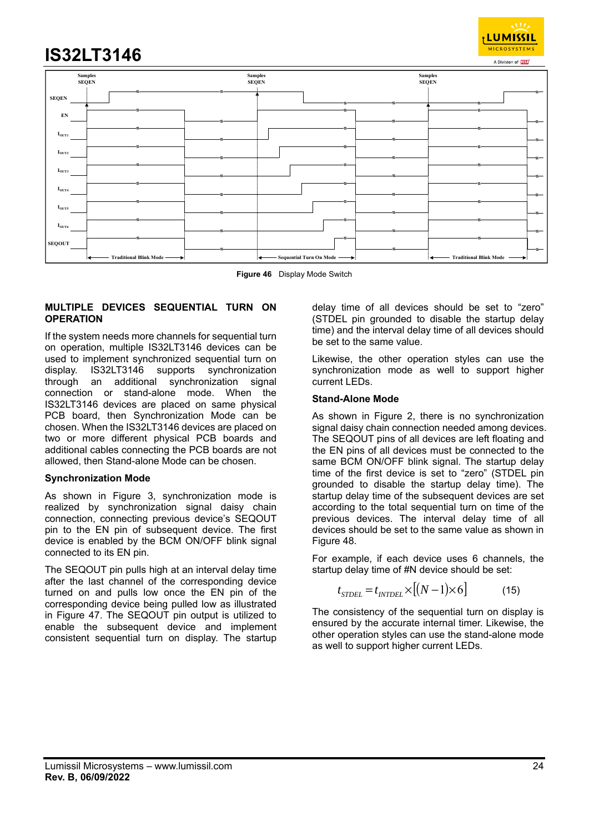

**Figure 46** Display Mode Switch

#### **MULTIPLE DEVICES SEQUENTIAL TURN ON OPERATION**

If the system needs more channels for sequential turn on operation, multiple IS32LT3146 devices can be used to implement synchronized sequential turn on display. IS32LT3146 supports synchronization through an additional synchronization signal connection or stand-alone mode. When the IS32LT3146 devices are placed on same physical PCB board, then Synchronization Mode can be chosen. When the IS32LT3146 devices are placed on two or more different physical PCB boards and additional cables connecting the PCB boards are not allowed, then Stand-alone Mode can be chosen.

#### **Synchronization Mode**

As shown in Figure 3, synchronization mode is realized by synchronization signal daisy chain connection, connecting previous device's SEQOUT pin to the EN pin of subsequent device. The first device is enabled by the BCM ON/OFF blink signal connected to its EN pin.

The SEQOUT pin pulls high at an interval delay time after the last channel of the corresponding device turned on and pulls low once the EN pin of the corresponding device being pulled low as illustrated in Figure 47. The SEQOUT pin output is utilized to enable the subsequent device and implement consistent sequential turn on display. The startup

delay time of all devices should be set to "zero" (STDEL pin grounded to disable the startup delay time) and the interval delay time of all devices should be set to the same value.

**LUMISSIL MICROSYSTEMS** 

Likewise, the other operation styles can use the synchronization mode as well to support higher current LEDs.

#### **Stand-Alone Mode**

As shown in Figure 2, there is no synchronization signal daisy chain connection needed among devices. The SEQOUT pins of all devices are left floating and the EN pins of all devices must be connected to the same BCM ON/OFF blink signal. The startup delay time of the first device is set to "zero" (STDEL pin grounded to disable the startup delay time). The startup delay time of the subsequent devices are set according to the total sequential turn on time of the previous devices. The interval delay time of all devices should be set to the same value as shown in Figure 48.

For example, if each device uses 6 channels, the startup delay time of #N device should be set:

$$
t_{STDEL} = t_{INTDEL} \times [(N-1) \times 6]
$$
 (15)

The consistency of the sequential turn on display is ensured by the accurate internal timer. Likewise, the other operation styles can use the stand-alone mode as well to support higher current LEDs.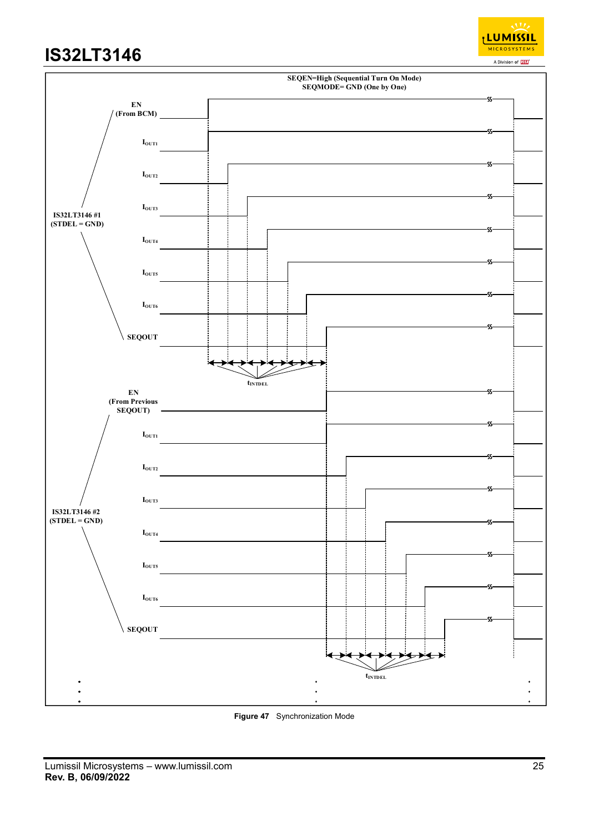



**Figure 47** Synchronization Mode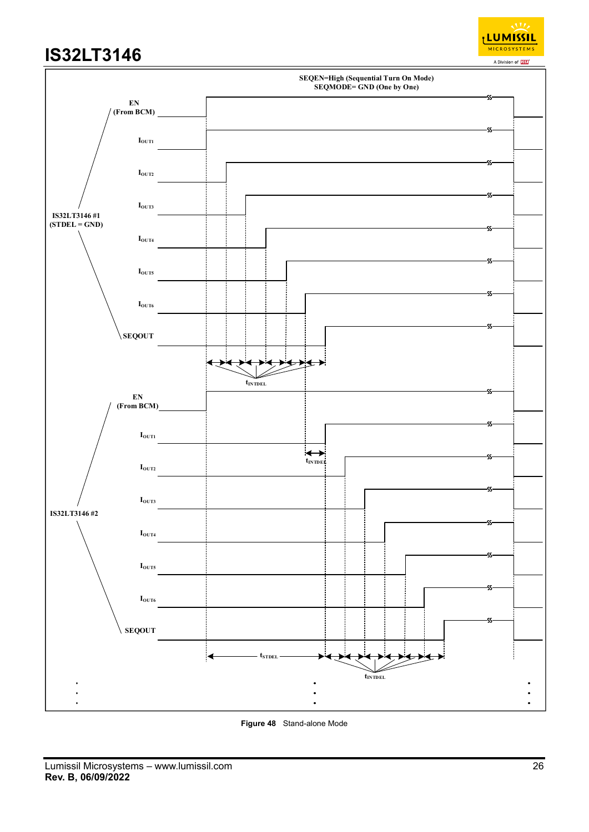



**Figure 48** Stand-alone Mode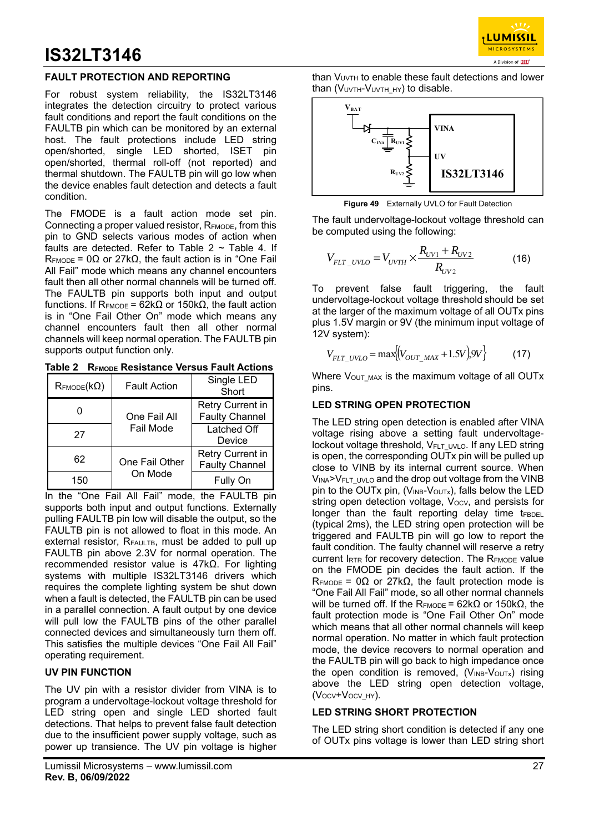

### **FAULT PROTECTION AND REPORTING**

For robust system reliability, the IS32LT3146 integrates the detection circuitry to protect various fault conditions and report the fault conditions on the FAULTB pin which can be monitored by an external host. The fault protections include LED string open/shorted, single LED shorted, ISET pin open/shorted, thermal roll-off (not reported) and thermal shutdown. The FAULTB pin will go low when the device enables fault detection and detects a fault condition.

The FMODE is a fault action mode set pin. Connecting a proper valued resistor, RFMODE, from this pin to GND selects various modes of action when faults are detected. Refer to Table  $2 \sim$  Table 4. If  $R_{\text{FMODE}} = 0\Omega$  or 27k $\Omega$ , the fault action is in "One Fail All Fail" mode which means any channel encounters fault then all other normal channels will be turned off. The FAULTB pin supports both input and output functions. If R<sub>FMODE</sub> = 62kΩ or 150kΩ, the fault action is in "One Fail Other On" mode which means any channel encounters fault then all other normal channels will keep normal operation. The FAULTB pin supports output function only.

**Table 2 RFMODE Resistance Versus Fault Actions** 

| $\mathsf{R}_{\mathsf{FMODE}}(\mathsf{k}\Omega)$ | <b>Fault Action</b> | Single LED<br>Short                       |  |  |
|-------------------------------------------------|---------------------|-------------------------------------------|--|--|
|                                                 | One Fail All        | Retry Current in<br><b>Faulty Channel</b> |  |  |
| 27                                              | Fail Mode           | Latched Off<br>Device                     |  |  |
| 62                                              | One Fail Other      | Retry Current in<br><b>Faulty Channel</b> |  |  |
| 150                                             | On Mode             | Fully On                                  |  |  |

In the "One Fail All Fail" mode, the FAULTB pin supports both input and output functions. Externally pulling FAULTB pin low will disable the output, so the FAULTB pin is not allowed to float in this mode. An external resistor, RFAULTB, must be added to pull up FAULTB pin above 2.3V for normal operation. The recommended resistor value is 47kΩ. For lighting systems with multiple IS32LT3146 drivers which requires the complete lighting system be shut down when a fault is detected, the FAULTB pin can be used in a parallel connection. A fault output by one device will pull low the FAULTB pins of the other parallel connected devices and simultaneously turn them off. This satisfies the multiple devices "One Fail All Fail" operating requirement.

### **UV PIN FUNCTION**

The UV pin with a resistor divider from VINA is to program a undervoltage-lockout voltage threshold for LED string open and single LED shorted fault detections. That helps to prevent false fault detection due to the insufficient power supply voltage, such as power up transience. The UV pin voltage is higher

than  $V_{UVTH}$  to enable these fault detections and lower than (VUVTH-VUVTH HY) to disable.



**Figure 49** Externally UVLO for Fault Detection

The fault undervoltage-lockout voltage threshold can be computed using the following:

$$
V_{FLT\_UVLO} = V_{UVTH} \times \frac{R_{UV1} + R_{UV2}}{R_{UV2}}
$$
 (16)

To prevent false fault triggering, the fault undervoltage-lockout voltage threshold should be set at the larger of the maximum voltage of all OUTx pins plus 1.5V margin or 9V (the minimum input voltage of 12V system):

$$
V_{FLT\_UVLO} = \max \{ (V_{OUT\_MAX} + 1.5V) .9V \}
$$
 (17)

Where  $V_{\text{OUT MAX}}$  is the maximum voltage of all OUTx pins.

### **LED STRING OPEN PROTECTION**

The LED string open detection is enabled after VINA voltage rising above a setting fault undervoltagelockout voltage threshold, V<sub>FLT</sub> UVLO. If any LED string is open, the corresponding OUTx pin will be pulled up close to VINB by its internal current source. When VINA>VFLT UVLO and the drop out voltage from the VINB pin to the OUTx pin,  $(V_{INB}-V_{OUTX})$ , falls below the LED string open detection voltage, Vocv, and persists for longer than the fault reporting delay time  $t_{FBDEL}$ (typical 2ms), the LED string open protection will be triggered and FAULTB pin will go low to report the fault condition. The faulty channel will reserve a retry current  $I_{RTR}$  for recovery detection. The  $R_{FMODE}$  value on the FMODE pin decides the fault action. If the  $R_{\text{FMODE}} = 0\Omega$  or 27k $\Omega$ , the fault protection mode is "One Fail All Fail" mode, so all other normal channels will be turned off. If the R<sub>FMODE</sub> = 62kΩ or 150kΩ, the fault protection mode is "One Fail Other On" mode which means that all other normal channels will keep normal operation. No matter in which fault protection mode, the device recovers to normal operation and the FAULTB pin will go back to high impedance once the open condition is removed,  $(V_{INB}-V_{OUTX})$  rising above the LED string open detection voltage, (V<sub>OCV</sub>+V<sub>OCV</sub><sub>HY</sub>).

### **LED STRING SHORT PROTECTION**

The LED string short condition is detected if any one of OUTx pins voltage is lower than LED string short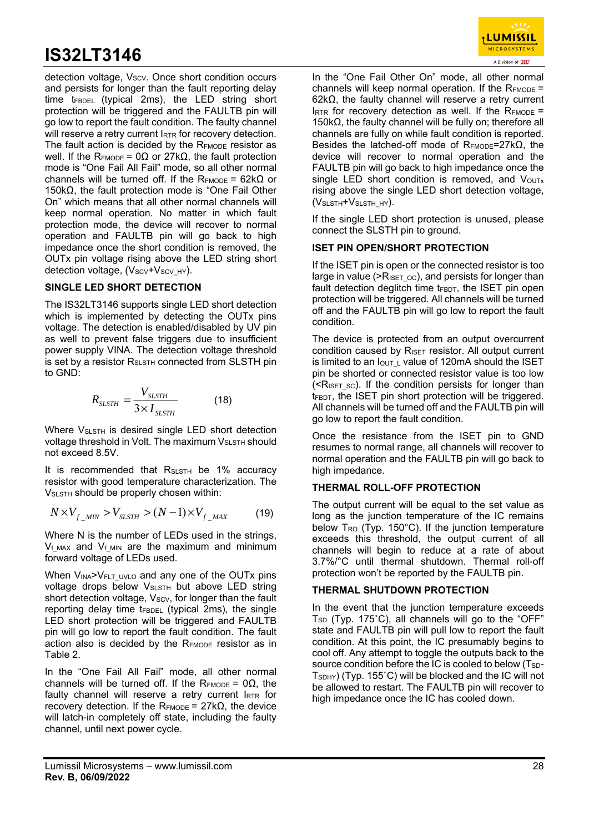detection voltage, Vscv. Once short condition occurs and persists for longer than the fault reporting delay time  $t_{FBDEL}$  (typical 2ms), the LED string short protection will be triggered and the FAULTB pin will go low to report the fault condition. The faulty channel will reserve a retry current IRTR for recovery detection. The fault action is decided by the  $R_{FMDDE}$  resistor as well. If the R<sub>FMODE</sub> = 0Ω or 27kΩ, the fault protection mode is "One Fail All Fail" mode, so all other normal channels will be turned off. If the R<sub>EMODE</sub> = 62k $\Omega$  or 150kΩ, the fault protection mode is "One Fail Other On" which means that all other normal channels will keep normal operation. No matter in which fault protection mode, the device will recover to normal operation and FAULTB pin will go back to high impedance once the short condition is removed, the OUTx pin voltage rising above the LED string short detection voltage, (Vscv+Vscv HY).

### **SINGLE LED SHORT DETECTION**

The IS32LT3146 supports single LED short detection which is implemented by detecting the OUTx pins voltage. The detection is enabled/disabled by UV pin as well to prevent false triggers due to insufficient power supply VINA. The detection voltage threshold is set by a resistor R<sub>SLSTH</sub> connected from SLSTH pin to GND:

$$
R_{SLSTH} = \frac{V_{SLSTH}}{3 \times I_{SLSTH}}
$$
 (18)

Where  $V_{S\text{LSTH}}$  is desired single LED short detection voltage threshold in Volt. The maximum V<sub>SLSTH</sub> should not exceed 8.5V.

It is recommended that  $R_{S\text{LSTH}}$  be 1% accuracy resistor with good temperature characterization. The VSLSTH should be properly chosen within:

$$
N \times V_{f_{\text{MIN}}} > V_{S\text{LSTH}} > (N-1) \times V_{f_{\text{MAX}}} \tag{19}
$$

Where N is the number of LEDs used in the strings,  $V_f$ <sub>MAX</sub> and  $V_f$ <sub>MIN</sub> are the maximum and minimum forward voltage of LEDs used.

When VINA>VFLT\_UVLO and any one of the OUTx pins voltage drops below VSLSTH but above LED string short detection voltage,  $V_{SCV}$ , for longer than the fault reporting delay time tFBDEL (typical 2ms), the single LED short protection will be triggered and FAULTB pin will go low to report the fault condition. The fault action also is decided by the RFMODE resistor as in Table 2.

In the "One Fail All Fail" mode, all other normal channels will be turned off. If the RFMODE =  $0\Omega$ , the faulty channel will reserve a retry current IRTR for recovery detection. If the R<sub>FMODE</sub> = 27kΩ, the device will latch-in completely off state, including the faulty channel, until next power cycle.

In the "One Fail Other On" mode, all other normal channels will keep normal operation. If the  $R_{FMDDE}$  = 62kΩ, the faulty channel will reserve a retry current IRTR for recovery detection as well. If the  $R_{FMODE}$  = 150kΩ, the faulty channel will be fully on; therefore all channels are fully on while fault condition is reported. Besides the latched-off mode of  $R_{FMODE} = 27k\Omega$ , the device will recover to normal operation and the FAULTB pin will go back to high impedance once the single LED short condition is removed, and  $V_{\text{OUTx}}$ rising above the single LED short detection voltage, (VSLSTH+VSLSTH\_HY).

If the single LED short protection is unused, please connect the SLSTH pin to ground.

### **ISET PIN OPEN/SHORT PROTECTION**

If the ISET pin is open or the connected resistor is too large in value ( $\geq$ R<sub>ISET</sub> <sub>OC</sub>), and persists for longer than fault detection deglitch time  $t_{FBDT}$ , the ISET pin open protection will be triggered. All channels will be turned off and the FAULTB pin will go low to report the fault condition.

The device is protected from an output overcurrent condition caused by R<sub>ISET</sub> resistor. All output current is limited to an  $I_{\text{OUT L}}$  value of 120mA should the ISET pin be shorted or connected resistor value is too low  $(SR<sub>ISET SC</sub>)$ . If the condition persists for longer than  $t_{FBDT}$ , the ISET pin short protection will be triggered. All channels will be turned off and the FAULTB pin will go low to report the fault condition.

Once the resistance from the ISET pin to GND resumes to normal range, all channels will recover to normal operation and the FAULTB pin will go back to high impedance.

### **THERMAL ROLL-OFF PROTECTION**

The output current will be equal to the set value as long as the junction temperature of the IC remains below  $T_{RO}$  (Typ. 150°C). If the junction temperature exceeds this threshold, the output current of all channels will begin to reduce at a rate of about 3.7%/°C until thermal shutdown. Thermal roll-off protection won't be reported by the FAULTB pin.

### **THERMAL SHUTDOWN PROTECTION**

In the event that the junction temperature exceeds  $T<sub>SD</sub>$  (Typ. 175°C), all channels will go to the "OFF" state and FAULTB pin will pull low to report the fault condition. At this point, the IC presumably begins to cool off. Any attempt to toggle the outputs back to the source condition before the IC is cooled to below (T<sub>SD</sub>-T<sub>SDHY</sub>) (Typ. 155°C) will be blocked and the IC will not be allowed to restart. The FAULTB pin will recover to high impedance once the IC has cooled down.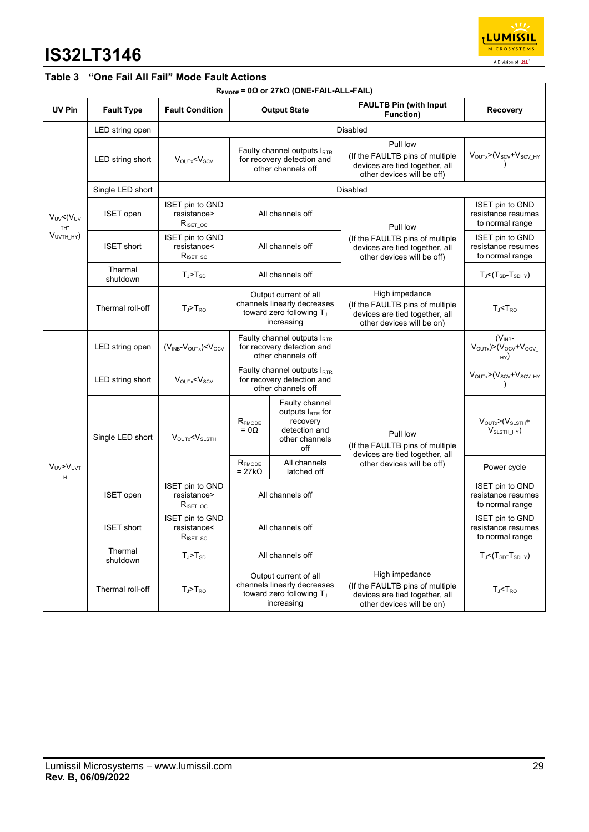

### **Table 3 "One Fail All Fail" Mode Fault Actions**

| $R_{\text{FMODE}}$ = 0 $\Omega$ or 27k $\Omega$ (ONE-FAIL-ALL-FAIL) |                             |                                                                                   |                                                                                                |                                                                                                                                                                                                                                |                                                                                                                  |                                                                                       |  |  |
|---------------------------------------------------------------------|-----------------------------|-----------------------------------------------------------------------------------|------------------------------------------------------------------------------------------------|--------------------------------------------------------------------------------------------------------------------------------------------------------------------------------------------------------------------------------|------------------------------------------------------------------------------------------------------------------|---------------------------------------------------------------------------------------|--|--|
| UV Pin                                                              | <b>Fault Type</b>           | <b>Fault Condition</b>                                                            |                                                                                                | <b>Output State</b>                                                                                                                                                                                                            | <b>FAULTB Pin (with Input</b><br>Function)                                                                       | <b>Recovery</b>                                                                       |  |  |
|                                                                     | Disabled<br>LED string open |                                                                                   |                                                                                                |                                                                                                                                                                                                                                |                                                                                                                  |                                                                                       |  |  |
|                                                                     | LED string short            | $V_{\text{OUTx}} < V_{\text{SCV}}$                                                |                                                                                                | Faulty channel outputs $I_{RTR}$<br>for recovery detection and<br>other channels off                                                                                                                                           | Pull low<br>(If the FAULTB pins of multiple<br>devices are tied together, all<br>other devices will be off)      | $V_{\text{OUTX}}$ >( $V_{\text{SCV}}$ + $V_{\text{SCV\_HY}}$                          |  |  |
|                                                                     | Single LED short            |                                                                                   | Disabled                                                                                       |                                                                                                                                                                                                                                |                                                                                                                  |                                                                                       |  |  |
| $V_{UV}$ < $(V_{UV}$<br>TH <sup>-</sup><br>$VUVTH_HY$               | <b>ISET</b> open            | <b>ISET pin to GND</b><br>resistance><br>$R_{\text{ISET\_OC}}$                    |                                                                                                | All channels off                                                                                                                                                                                                               | Pull low                                                                                                         | ISET pin to GND<br>resistance resumes<br>to normal range                              |  |  |
|                                                                     | <b>ISET short</b>           | <b>ISET pin to GND</b><br>resistance<<br>$R_{\scriptscriptstyle \text{ISET\_SC}}$ |                                                                                                | All channels off                                                                                                                                                                                                               | (If the FAULTB pins of multiple<br>devices are tied together, all<br>other devices will be off)                  | <b>ISET</b> pin to GND<br>resistance resumes<br>to normal range                       |  |  |
|                                                                     | Thermal<br>shutdown         | $T_J$ > $T_{SD}$                                                                  | All channels off                                                                               |                                                                                                                                                                                                                                |                                                                                                                  | $T_J$ < $(T_{SD}$ - $T_{SDHY})$                                                       |  |  |
|                                                                     | Thermal roll-off            | $T_J$ > $T_{RO}$                                                                  | Output current of all<br>channels linearly decreases<br>toward zero following TJ<br>increasing |                                                                                                                                                                                                                                | High impedance<br>(If the FAULTB pins of multiple<br>devices are tied together, all<br>other devices will be on) | $T_{J}$ < $T_{RO}$                                                                    |  |  |
|                                                                     | LED string open             | $(V_{INB}-V_{OUTX})$ < $V_{OCV}$                                                  | Faulty channel outputs IRTR<br>for recovery detection and<br>other channels off                |                                                                                                                                                                                                                                |                                                                                                                  | (V <sub>INB</sub> -<br>$V_{\text{OUTX}}$ $> (V_{\text{OCV}} + V_{\text{OCV}})$<br>HY) |  |  |
|                                                                     | LED string short            | $V_{\text{OUTx}} < V_{\text{SCV}}$                                                | Faulty channel outputs IRTR<br>for recovery detection and<br>other channels off                |                                                                                                                                                                                                                                |                                                                                                                  | VOUTX>(V <sub>SCV</sub> +V <sub>SCV_HY</sub>                                          |  |  |
|                                                                     | Single LED short            | $V_{\text{OUTX}} < V_{\text{SLSTH}}$                                              | $\mathsf{R}_{\mathsf{FMODE}}$<br>$= 0\Omega$                                                   | Faulty channel<br>outputs IRTR for<br>recovery<br>detection and<br>other channels<br>off                                                                                                                                       | Pull low<br>(If the FAULTB pins of multiple<br>devices are tied together, all                                    | $V_{\text{OUTX}}$ $\geq$ $(V_{\text{SLSTH}} +$<br>$V_{S\text{LSTH}_H}$ HY)            |  |  |
| V <sub>UV</sub> >V <sub>UVT</sub><br>H                              |                             |                                                                                   | $\mathsf{R}_{\mathsf{FMODE}}$<br>$= 27k\Omega$                                                 | All channels<br>latched off                                                                                                                                                                                                    | other devices will be off)                                                                                       | Power cycle                                                                           |  |  |
|                                                                     | <b>ISET</b> open            | <b>ISET pin to GND</b><br>resistance><br>$R_{\text{ISET\_OC}}$                    |                                                                                                | All channels off                                                                                                                                                                                                               |                                                                                                                  | <b>ISET pin to GND</b><br>resistance resumes<br>to normal range                       |  |  |
|                                                                     | <b>ISET short</b>           | ISET pin to GND<br>resistance<<br>$R_{\text{ISET\_SC}}$                           |                                                                                                | All channels off                                                                                                                                                                                                               |                                                                                                                  | <b>ISET pin to GND</b><br>resistance resumes<br>to normal range                       |  |  |
|                                                                     | Thermal<br>shutdown         | $T_J$ > $T_{SD}$                                                                  |                                                                                                | All channels off                                                                                                                                                                                                               |                                                                                                                  | $T_J$ < $(T_{SD}$ - $T_{SDHY})$                                                       |  |  |
|                                                                     | Thermal roll-off            | $T_J$ > $T_{RO}$                                                                  |                                                                                                | High impedance<br>Output current of all<br>channels linearly decreases<br>(If the FAULTB pins of multiple<br>toward zero following T <sub>J</sub><br>devices are tied together, all<br>increasing<br>other devices will be on) |                                                                                                                  | $T_J$ < $T_{RO}$                                                                      |  |  |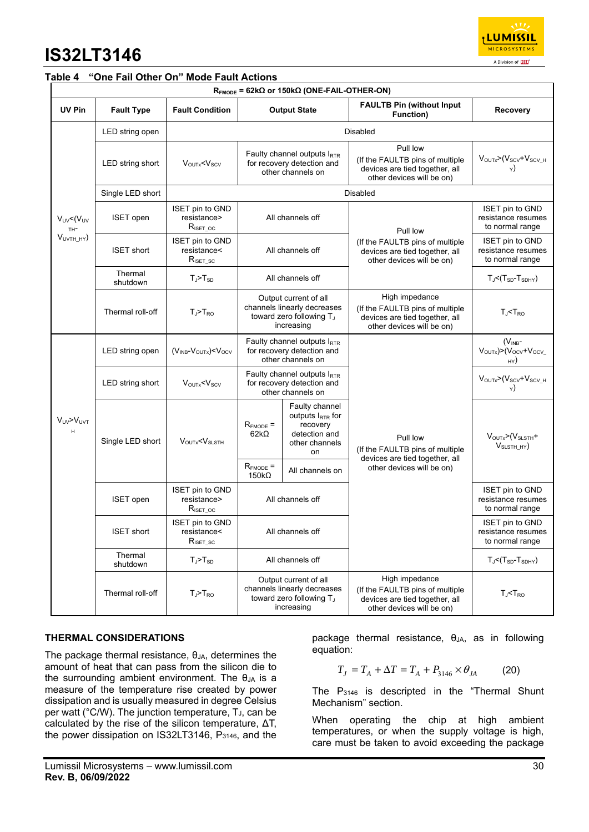| <b>LUMISSIL</b>           |  |  |  |  |  |  |
|---------------------------|--|--|--|--|--|--|
| <b>MICROSYSTEMS</b>       |  |  |  |  |  |  |
| A Division of <b>ISSI</b> |  |  |  |  |  |  |

### **Table 4 "One Fail Other On" Mode Fault Actions**

| $R_{FMODE}$ = 62k $\Omega$ or 150k $\Omega$ (ONE-FAIL-OTHER-ON) |                     |                                                                |                                                                                                |                                                                                                     |                                                                                                                  |                                                                                |  |  |  |
|-----------------------------------------------------------------|---------------------|----------------------------------------------------------------|------------------------------------------------------------------------------------------------|-----------------------------------------------------------------------------------------------------|------------------------------------------------------------------------------------------------------------------|--------------------------------------------------------------------------------|--|--|--|
| UV Pin                                                          | <b>Fault Type</b>   | <b>Fault Condition</b>                                         |                                                                                                | <b>Output State</b>                                                                                 | <b>FAULTB Pin (without Input)</b><br>Function)                                                                   | <b>Recovery</b>                                                                |  |  |  |
|                                                                 | LED string open     | <b>Disabled</b>                                                |                                                                                                |                                                                                                     |                                                                                                                  |                                                                                |  |  |  |
|                                                                 | LED string short    | $V_{\text{OUTx}} < V_{\text{SCV}}$                             |                                                                                                | Faulty channel outputs $I_{\text{RTR}}$<br>for recovery detection and<br>other channels on          | Pull low<br>(If the FAULTB pins of multiple<br>devices are tied together, all<br>other devices will be on)       | VOUTX>(Vscv+Vscv_H                                                             |  |  |  |
|                                                                 | Single LED short    |                                                                |                                                                                                |                                                                                                     | Disabled                                                                                                         |                                                                                |  |  |  |
| $V_{UV}$ < $(V_{UV}$<br>TH <sup>-</sup><br>$VUVTH_HY$           | <b>ISET</b> open    | <b>ISET pin to GND</b><br>resistance><br>$R_{\text{ISET\_OC}}$ | All channels off                                                                               |                                                                                                     | Pull low<br>(If the FAULTB pins of multiple<br>devices are tied together, all<br>other devices will be on)       | <b>ISET pin to GND</b><br>resistance resumes<br>to normal range                |  |  |  |
|                                                                 | <b>ISET short</b>   | <b>ISET pin to GND</b><br>resistance<<br>$R_{\text{ISET\_SC}}$ | All channels off                                                                               |                                                                                                     |                                                                                                                  | ISET pin to GND<br>resistance resumes<br>to normal range                       |  |  |  |
|                                                                 | Thermal<br>shutdown | $T_J$ > $T_{SD}$                                               | All channels off                                                                               |                                                                                                     |                                                                                                                  | $T_{J}$ < $(T_{SD}$ - $T_{SDHY})$                                              |  |  |  |
|                                                                 | Thermal roll-off    | $T_J > T_{RO}$                                                 | Output current of all<br>channels linearly decreases<br>toward zero following TJ<br>increasing |                                                                                                     | High impedance<br>(If the FAULTB pins of multiple<br>devices are tied together, all<br>other devices will be on) | $T_{J}$ < $T_{RO}$                                                             |  |  |  |
| $V_{UV} > V_{UV}$<br>H                                          | LED string open     | $(V_{INB} - V_{OUTX}) < V_{OCV}$                               | Faulty channel outputs IRTR<br>for recovery detection and<br>other channels on                 |                                                                                                     |                                                                                                                  | $(V_{INB}$ -<br>$V_{\text{OUTX}}$ $> (V_{\text{OCV}} + V_{\text{OCV}})$<br>HY) |  |  |  |
|                                                                 | LED string short    | $V_{\text{OUTx}} < V_{\text{SCV}}$                             | Faulty channel outputs $I_{RTR}$<br>for recovery detection and<br>other channels on            |                                                                                                     |                                                                                                                  | $V_{\text{OUTX}}$ >( $V_{\text{SCV}}$ + $V_{\text{SCV_H}}$                     |  |  |  |
|                                                                 | Single LED short    | $V_{\text{OUTX}} < V_{\text{SLSTH}}$                           | $R_{FMODE}$ =<br>$62k\Omega$                                                                   | Faulty channel<br>outputs $I_{\text{RTR}}$ for<br>recovery<br>detection and<br>other channels<br>on | Pull low<br>(If the FAULTB pins of multiple<br>devices are tied together, all<br>other devices will be on)       | $VOUTX>(VSLSTH +$<br>$VSLSTH$ HY)                                              |  |  |  |
|                                                                 |                     |                                                                | $R_{FMODE}$ =<br>$150k\Omega$                                                                  | All channels on                                                                                     |                                                                                                                  |                                                                                |  |  |  |
|                                                                 | <b>ISET</b> open    | <b>ISET pin to GND</b><br>resistance><br>$R_{\text{ISET\_OC}}$ | All channels off                                                                               |                                                                                                     |                                                                                                                  | <b>ISET pin to GND</b><br>resistance resumes<br>to normal range                |  |  |  |
|                                                                 | <b>ISET short</b>   | ISET pin to GND<br>resistance<<br>$R_{\text{ISET\_SC}}$        | All channels off                                                                               |                                                                                                     |                                                                                                                  | <b>ISET pin to GND</b><br>resistance resumes<br>to normal range                |  |  |  |
|                                                                 | Thermal<br>shutdown | $T_J$ > $T_{SD}$                                               | All channels off                                                                               |                                                                                                     |                                                                                                                  | $T_J$ < $(T_{SD}$ - $T_{SDHY})$                                                |  |  |  |
|                                                                 | Thermal roll-off    | $T_J$ > $T_{RO}$                                               | Output current of all<br>channels linearly decreases<br>toward zero following TJ<br>increasing |                                                                                                     | High impedance<br>(If the FAULTB pins of multiple<br>devices are tied together, all<br>other devices will be on) | $T_{J}$ < $T_{RO}$                                                             |  |  |  |

### **THERMAL CONSIDERATIONS**

The package thermal resistance,  $\theta_{JA}$ , determines the amount of heat that can pass from the silicon die to the surrounding ambient environment. The  $\theta_{JA}$  is a measure of the temperature rise created by power dissipation and is usually measured in degree Celsius per watt (°C/W). The junction temperature, T<sub>J</sub>, can be calculated by the rise of the silicon temperature, ΔT, the power dissipation on IS32LT3146, P3146, and the

package thermal resistance, θ<sub>JA</sub>, as in following equation:

$$
T_J = T_A + \Delta T = T_A + P_{3146} \times \theta_{JA}
$$
 (20)

The P3146 is descripted in the "Thermal Shunt Mechanism" section.

When operating the chip at high ambient temperatures, or when the supply voltage is high, care must be taken to avoid exceeding the package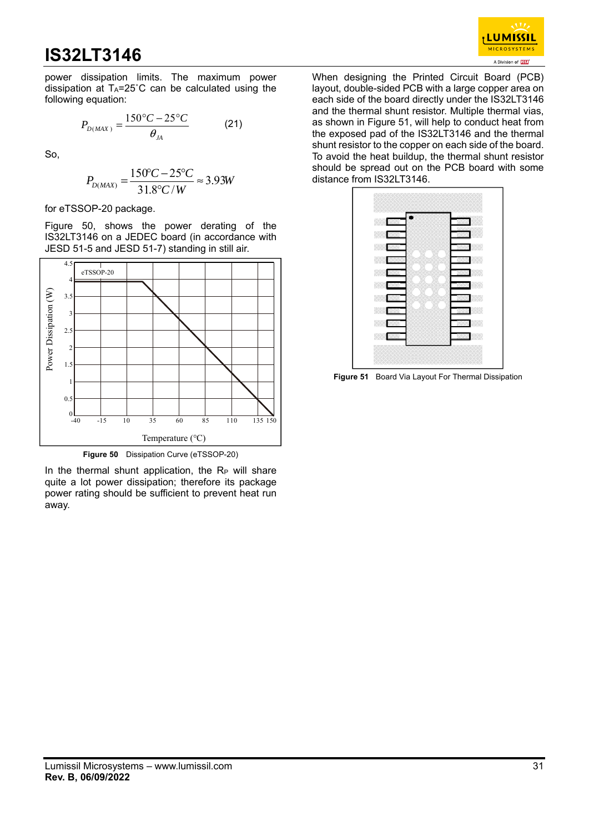

power dissipation limits. The maximum power dissipation at TA=25˚C can be calculated using the following equation:

$$
P_{D(MAX)} = \frac{150\degree C - 25\degree C}{\theta_{JA}} \tag{21}
$$

So,

$$
P_{D(MAX)} = \frac{150^{\circ}C - 25^{\circ}C}{31.8^{\circ}C/W} \approx 3.93W
$$

for eTSSOP-20 package.

Figure 50, shows the power derating of the IS32LT3146 on a JEDEC board (in accordance with JESD 51-5 and JESD 51-7) standing in still air.



**Figure 50** Dissipation Curve (eTSSOP-20)

In the thermal shunt application, the  $R_P$  will share quite a lot power dissipation; therefore its package power rating should be sufficient to prevent heat run away.

When designing the Printed Circuit Board (PCB) layout, double-sided PCB with a large copper area on each side of the board directly under the IS32LT3146 and the thermal shunt resistor. Multiple thermal vias, as shown in Figure 51, will help to conduct heat from the exposed pad of the IS32LT3146 and the thermal shunt resistor to the copper on each side of the board. To avoid the heat buildup, the thermal shunt resistor should be spread out on the PCB board with some distance from IS32LT3146.



**Figure 51** Board Via Layout For Thermal Dissipation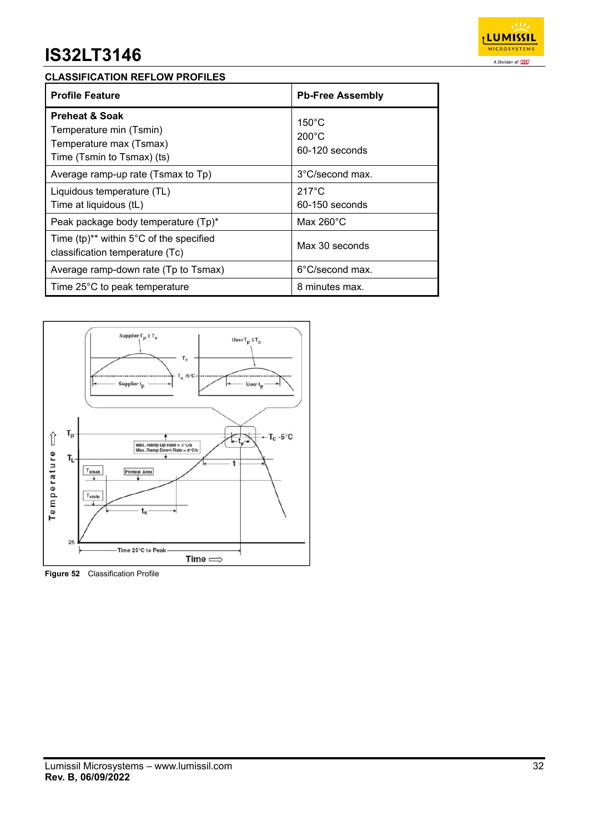

### **CLASSIFICATION REFLOW PROFILES**

| <b>Profile Feature</b>                                                                                        | <b>Pb-Free Assembly</b>                              |
|---------------------------------------------------------------------------------------------------------------|------------------------------------------------------|
| <b>Preheat &amp; Soak</b><br>Temperature min (Tsmin)<br>Temperature max (Tsmax)<br>Time (Tsmin to Tsmax) (ts) | $150^{\circ}$ C<br>$200^{\circ}$ C<br>60-120 seconds |
| Average ramp-up rate (Tsmax to Tp)                                                                            | 3°C/second max.                                      |
| Liquidous temperature (TL)<br>Time at liquidous (tL)                                                          | $217^{\circ}$ C<br>$60-150$ seconds                  |
| Peak package body temperature (Tp)*                                                                           | Max $260^{\circ}$ C                                  |
| Time $(tp)^{**}$ within 5°C of the specified<br>classification temperature (Tc)                               | Max 30 seconds                                       |
| Average ramp-down rate (Tp to Tsmax)                                                                          | 6°C/second max.                                      |
| Time 25°C to peak temperature                                                                                 | 8 minutes max.                                       |



**Figure 52** Classification Profile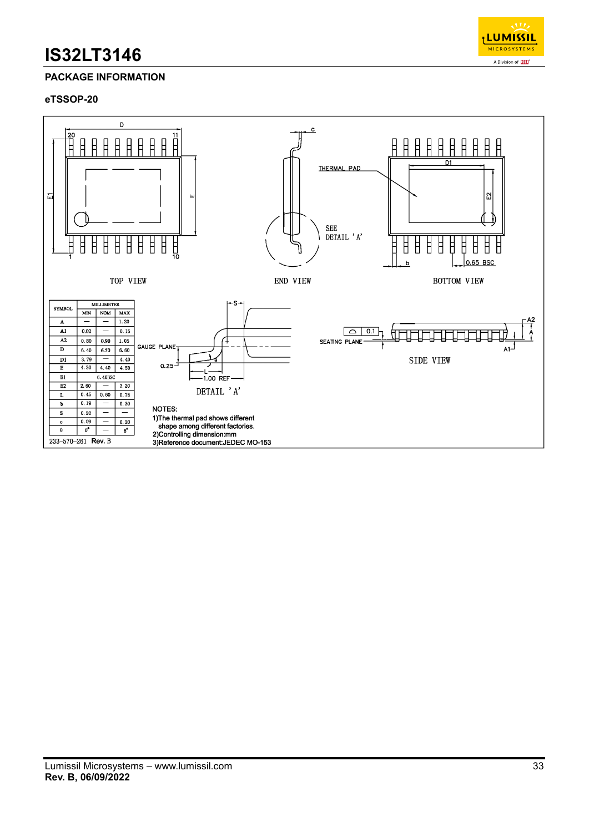

### **PACKAGE INFORMATION**

#### **eTSSOP-20**

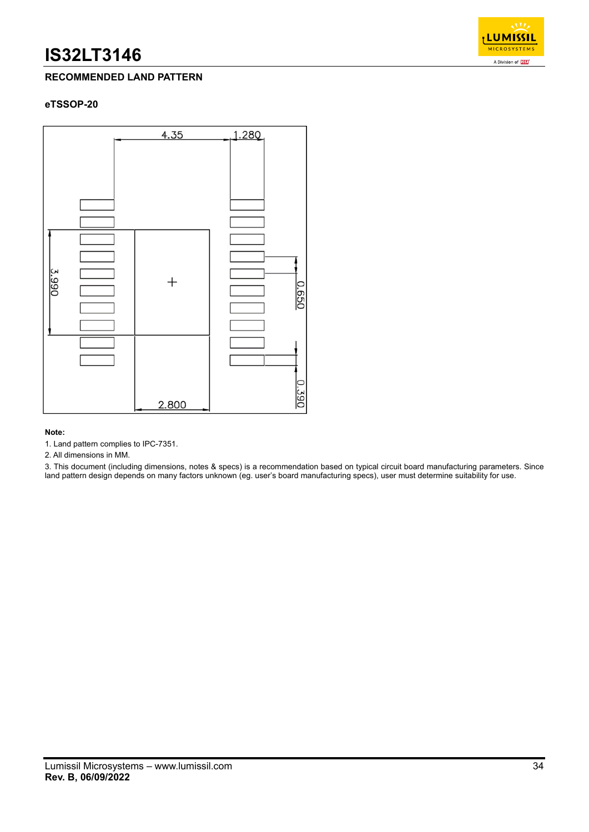

### **RECOMMENDED LAND PATTERN**

### **eTSSOP-20**



#### **Note:**

1. Land pattern complies to IPC-7351.

2. All dimensions in MM.

3. This document (including dimensions, notes & specs) is a recommendation based on typical circuit board manufacturing parameters. Since land pattern design depends on many factors unknown (eg. user's board manufacturing specs), user must determine suitability for use.